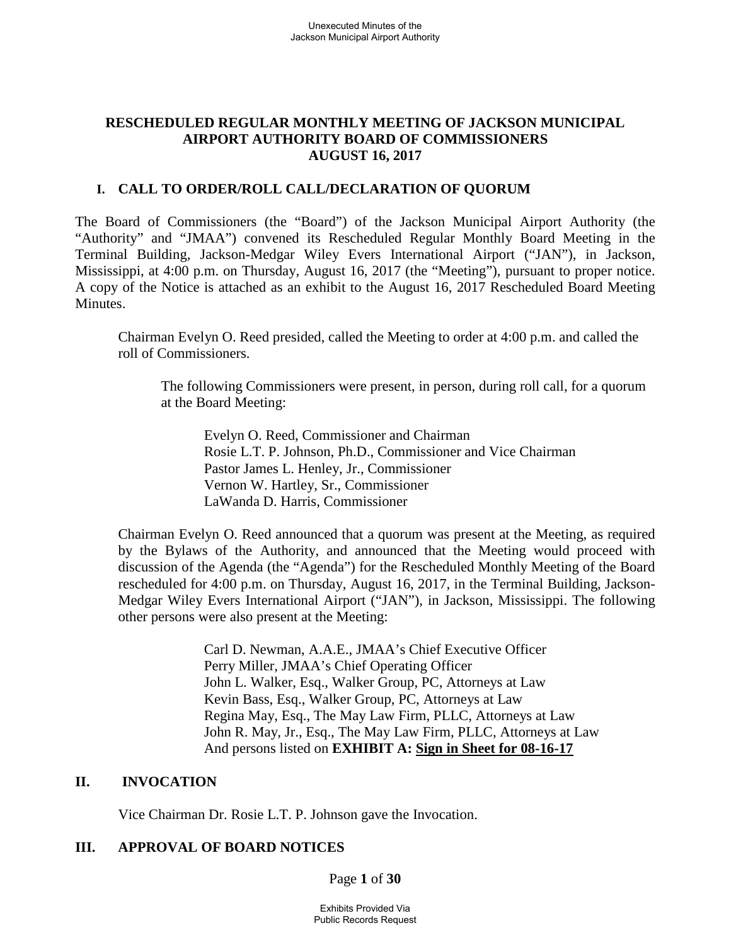### **RESCHEDULED REGULAR MONTHLY MEETING OF JACKSON MUNICIPAL AIRPORT AUTHORITY BOARD OF COMMISSIONERS AUGUST 16, 2017**

### **I. CALL TO ORDER/ROLL CALL/DECLARATION OF QUORUM**

The Board of Commissioners (the "Board") of the Jackson Municipal Airport Authority (the "Authority" and "JMAA") convened its Rescheduled Regular Monthly Board Meeting in the Terminal Building, Jackson-Medgar Wiley Evers International Airport ("JAN"), in Jackson, Mississippi, at 4:00 p.m. on Thursday, August 16, 2017 (the "Meeting"), pursuant to proper notice. A copy of the Notice is attached as an exhibit to the August 16, 2017 Rescheduled Board Meeting Minutes.

Chairman Evelyn O. Reed presided, called the Meeting to order at 4:00 p.m. and called the roll of Commissioners.

The following Commissioners were present, in person, during roll call, for a quorum at the Board Meeting:

Evelyn O. Reed, Commissioner and Chairman Rosie L.T. P. Johnson, Ph.D., Commissioner and Vice Chairman Pastor James L. Henley, Jr., Commissioner Vernon W. Hartley, Sr., Commissioner LaWanda D. Harris, Commissioner

Chairman Evelyn O. Reed announced that a quorum was present at the Meeting, as required by the Bylaws of the Authority, and announced that the Meeting would proceed with discussion of the Agenda (the "Agenda") for the Rescheduled Monthly Meeting of the Board rescheduled for 4:00 p.m. on Thursday, August 16, 2017, in the Terminal Building, Jackson-Medgar Wiley Evers International Airport ("JAN"), in Jackson, Mississippi. The following other persons were also present at the Meeting:

> Carl D. Newman, A.A.E., JMAA's Chief Executive Officer Perry Miller, JMAA's Chief Operating Officer John L. Walker, Esq., Walker Group, PC, Attorneys at Law Kevin Bass, Esq., Walker Group, PC, Attorneys at Law Regina May, Esq., The May Law Firm, PLLC, Attorneys at Law John R. May, Jr., Esq., The May Law Firm, PLLC, Attorneys at Law And persons listed on **EXHIBIT A: Sign in Sheet for 08-16-17**

# **II. INVOCATION**

Vice Chairman Dr. Rosie L.T. P. Johnson gave the Invocation.

# **III. APPROVAL OF BOARD NOTICES**

Page **1** of **30**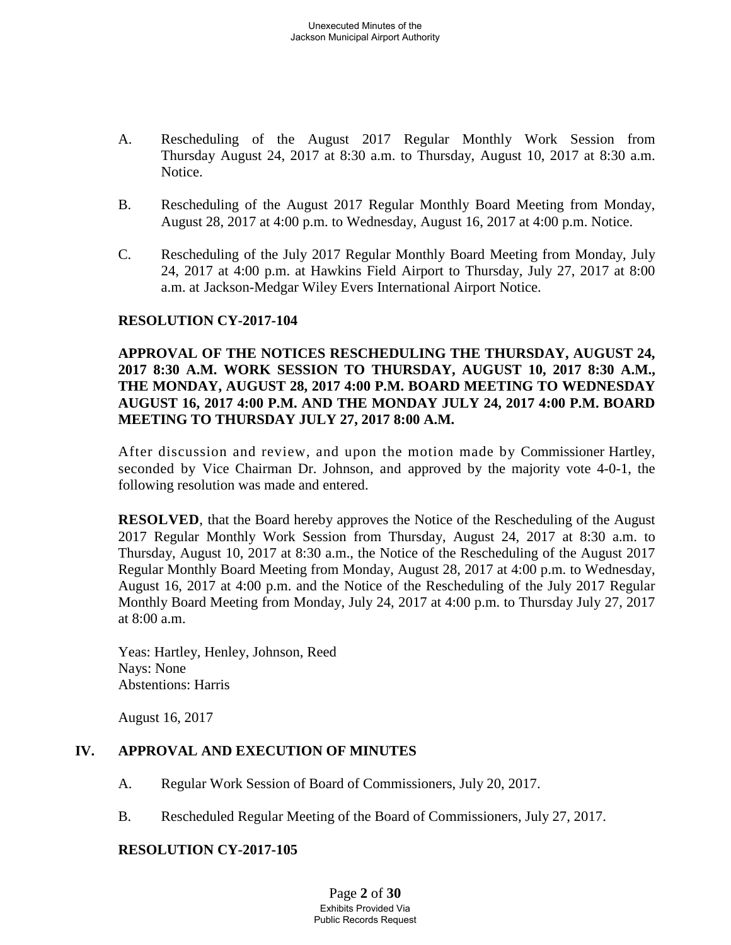- A. Rescheduling of the August 2017 Regular Monthly Work Session from Thursday August 24, 2017 at 8:30 a.m. to Thursday, August 10, 2017 at 8:30 a.m. Notice.
- B. Rescheduling of the August 2017 Regular Monthly Board Meeting from Monday, August 28, 2017 at 4:00 p.m. to Wednesday, August 16, 2017 at 4:00 p.m. Notice.
- C. Rescheduling of the July 2017 Regular Monthly Board Meeting from Monday, July 24, 2017 at 4:00 p.m. at Hawkins Field Airport to Thursday, July 27, 2017 at 8:00 a.m. at Jackson-Medgar Wiley Evers International Airport Notice.

### **RESOLUTION CY-2017-104**

# **APPROVAL OF THE NOTICES RESCHEDULING THE THURSDAY, AUGUST 24, 2017 8:30 A.M. WORK SESSION TO THURSDAY, AUGUST 10, 2017 8:30 A.M., THE MONDAY, AUGUST 28, 2017 4:00 P.M. BOARD MEETING TO WEDNESDAY AUGUST 16, 2017 4:00 P.M. AND THE MONDAY JULY 24, 2017 4:00 P.M. BOARD MEETING TO THURSDAY JULY 27, 2017 8:00 A.M.**

After discussion and review, and upon the motion made by Commissioner Hartley, seconded by Vice Chairman Dr. Johnson, and approved by the majority vote 4-0-1, the following resolution was made and entered.

**RESOLVED**, that the Board hereby approves the Notice of the Rescheduling of the August 2017 Regular Monthly Work Session from Thursday, August 24, 2017 at 8:30 a.m. to Thursday, August 10, 2017 at 8:30 a.m., the Notice of the Rescheduling of the August 2017 Regular Monthly Board Meeting from Monday, August 28, 2017 at 4:00 p.m. to Wednesday, August 16, 2017 at 4:00 p.m. and the Notice of the Rescheduling of the July 2017 Regular Monthly Board Meeting from Monday, July 24, 2017 at 4:00 p.m. to Thursday July 27, 2017 at 8:00 a.m.

Yeas: Hartley, Henley, Johnson, Reed Nays: None Abstentions: Harris

August 16, 2017

# **IV. APPROVAL AND EXECUTION OF MINUTES**

- A. Regular Work Session of Board of Commissioners, July 20, 2017.
- B. Rescheduled Regular Meeting of the Board of Commissioners, July 27, 2017.

### **RESOLUTION CY-2017-105**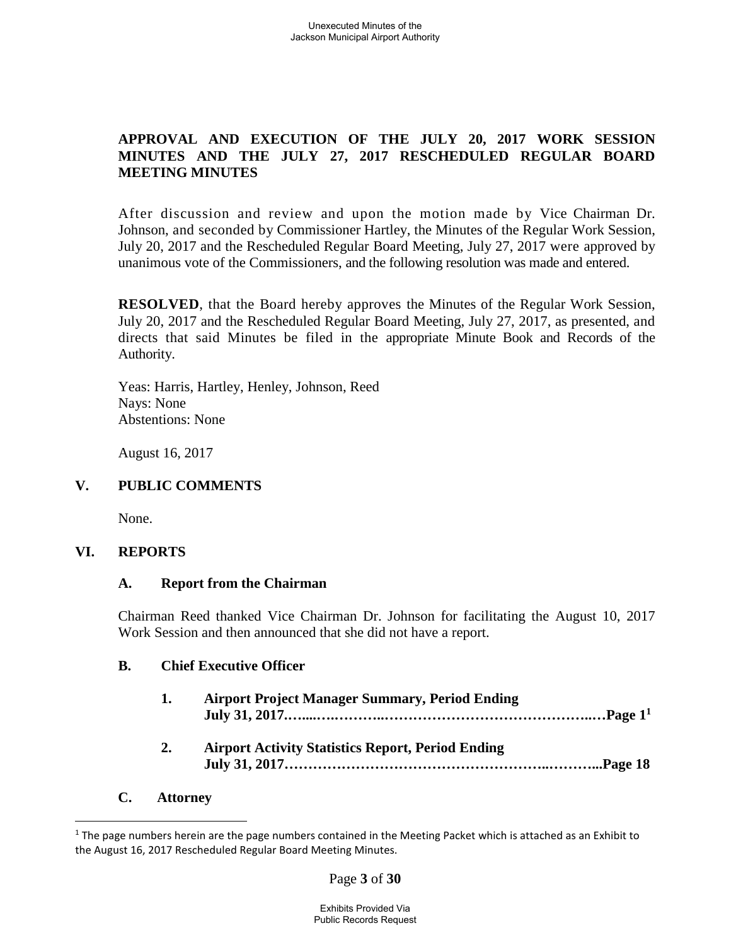# **APPROVAL AND EXECUTION OF THE JULY 20, 2017 WORK SESSION MINUTES AND THE JULY 27, 2017 RESCHEDULED REGULAR BOARD MEETING MINUTES**

After discussion and review and upon the motion made by Vice Chairman Dr. Johnson, and seconded by Commissioner Hartley, the Minutes of the Regular Work Session, July 20, 2017 and the Rescheduled Regular Board Meeting, July 27, 2017 were approved by unanimous vote of the Commissioners, and the following resolution was made and entered.

**RESOLVED**, that the Board hereby approves the Minutes of the Regular Work Session, July 20, 2017 and the Rescheduled Regular Board Meeting, July 27, 2017, as presented, and directs that said Minutes be filed in the appropriate Minute Book and Records of the Authority.

Yeas: Harris, Hartley, Henley, Johnson, Reed Nays: None Abstentions: None

August 16, 2017

# **V. PUBLIC COMMENTS**

None.

### **VI. REPORTS**

### **A. Report from the Chairman**

Chairman Reed thanked Vice Chairman Dr. Johnson for facilitating the August 10, 2017 Work Session and then announced that she did not have a report.

### **B. Chief Executive Officer**

| 1. | <b>Airport Project Manager Summary, Period Ending</b>    |  |
|----|----------------------------------------------------------|--|
| 2. | <b>Airport Activity Statistics Report, Period Ending</b> |  |

### **C. Attorney**

Page **3** of **30**

 $1$  The page numbers herein are the page numbers contained in the Meeting Packet which is attached as an Exhibit to the August 16, 2017 Rescheduled Regular Board Meeting Minutes.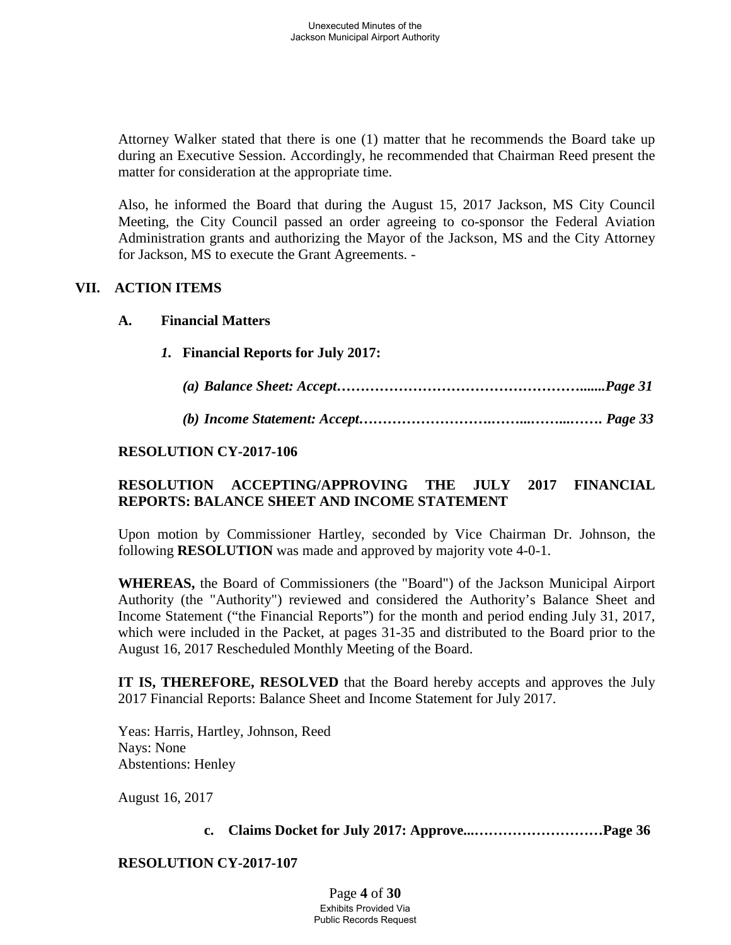Attorney Walker stated that there is one (1) matter that he recommends the Board take up during an Executive Session. Accordingly, he recommended that Chairman Reed present the matter for consideration at the appropriate time.

Also, he informed the Board that during the August 15, 2017 Jackson, MS City Council Meeting, the City Council passed an order agreeing to co-sponsor the Federal Aviation Administration grants and authorizing the Mayor of the Jackson, MS and the City Attorney for Jackson, MS to execute the Grant Agreements. -

# **VII. ACTION ITEMS**

### **A. Financial Matters**

- *1.* **Financial Reports for July 2017:**
	- *(a) Balance Sheet: Accept…………………………………………….......Page 31*
	- *(b) Income Statement: Accept……………………….……...……...……. Page 33*

### **RESOLUTION CY-2017-106**

# **RESOLUTION ACCEPTING/APPROVING THE JULY 2017 FINANCIAL REPORTS: BALANCE SHEET AND INCOME STATEMENT**

Upon motion by Commissioner Hartley, seconded by Vice Chairman Dr. Johnson, the following **RESOLUTION** was made and approved by majority vote 4-0-1.

**WHEREAS,** the Board of Commissioners (the "Board") of the Jackson Municipal Airport Authority (the "Authority") reviewed and considered the Authority's Balance Sheet and Income Statement ("the Financial Reports") for the month and period ending July 31, 2017, which were included in the Packet, at pages 31-35 and distributed to the Board prior to the August 16, 2017 Rescheduled Monthly Meeting of the Board.

**IT IS, THEREFORE, RESOLVED** that the Board hereby accepts and approves the July 2017 Financial Reports: Balance Sheet and Income Statement for July 2017.

Yeas: Harris, Hartley, Johnson, Reed Nays: None Abstentions: Henley

August 16, 2017

**c. Claims Docket for July 2017: Approve...………………………Page 36**

### **RESOLUTION CY-2017-107**

Page **4** of **30** Exhibits Provided Via Public Records Request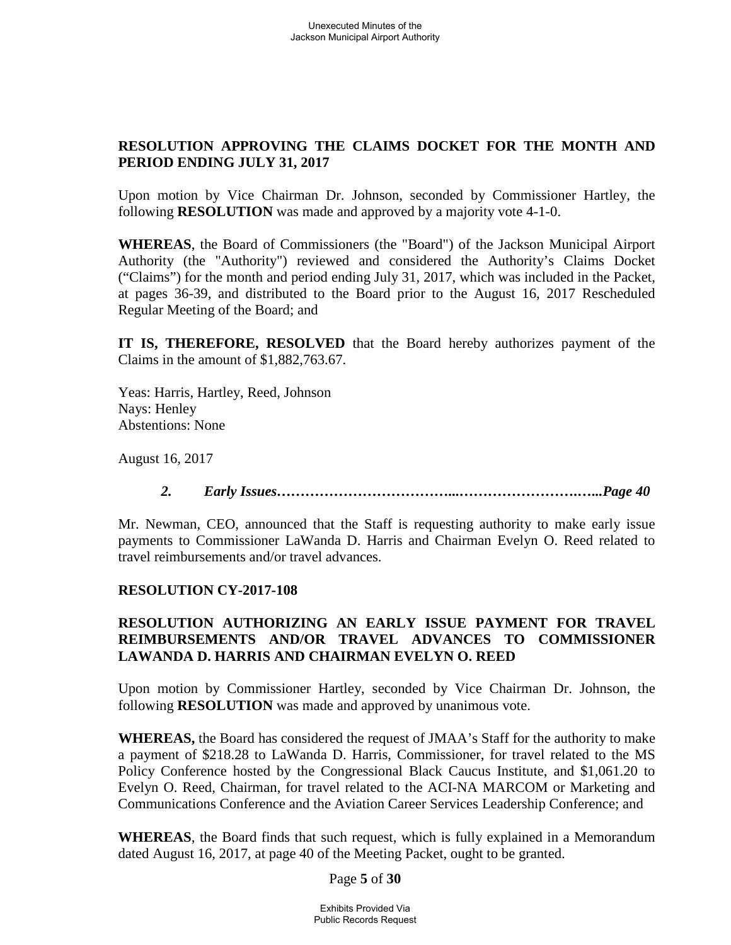# **RESOLUTION APPROVING THE CLAIMS DOCKET FOR THE MONTH AND PERIOD ENDING JULY 31, 2017**

Upon motion by Vice Chairman Dr. Johnson, seconded by Commissioner Hartley, the following **RESOLUTION** was made and approved by a majority vote 4-1-0.

**WHEREAS**, the Board of Commissioners (the "Board") of the Jackson Municipal Airport Authority (the "Authority") reviewed and considered the Authority's Claims Docket ("Claims") for the month and period ending July 31, 2017, which was included in the Packet, at pages 36-39, and distributed to the Board prior to the August 16, 2017 Rescheduled Regular Meeting of the Board; and

**IT IS, THEREFORE, RESOLVED** that the Board hereby authorizes payment of the Claims in the amount of \$1,882,763.67.

Yeas: Harris, Hartley, Reed, Johnson Nays: Henley Abstentions: None

August 16, 2017

*2. Early Issues………………………………...…………………….…...Page 40*

Mr. Newman, CEO, announced that the Staff is requesting authority to make early issue payments to Commissioner LaWanda D. Harris and Chairman Evelyn O. Reed related to travel reimbursements and/or travel advances.

### **RESOLUTION CY-2017-108**

# **RESOLUTION AUTHORIZING AN EARLY ISSUE PAYMENT FOR TRAVEL REIMBURSEMENTS AND/OR TRAVEL ADVANCES TO COMMISSIONER LAWANDA D. HARRIS AND CHAIRMAN EVELYN O. REED**

Upon motion by Commissioner Hartley, seconded by Vice Chairman Dr. Johnson, the following **RESOLUTION** was made and approved by unanimous vote.

**WHEREAS,** the Board has considered the request of JMAA's Staff for the authority to make a payment of \$218.28 to LaWanda D. Harris, Commissioner, for travel related to the MS Policy Conference hosted by the Congressional Black Caucus Institute, and \$1,061.20 to Evelyn O. Reed, Chairman, for travel related to the ACI-NA MARCOM or Marketing and Communications Conference and the Aviation Career Services Leadership Conference; and

**WHEREAS**, the Board finds that such request, which is fully explained in a Memorandum dated August 16, 2017, at page 40 of the Meeting Packet, ought to be granted.

Page **5** of **30**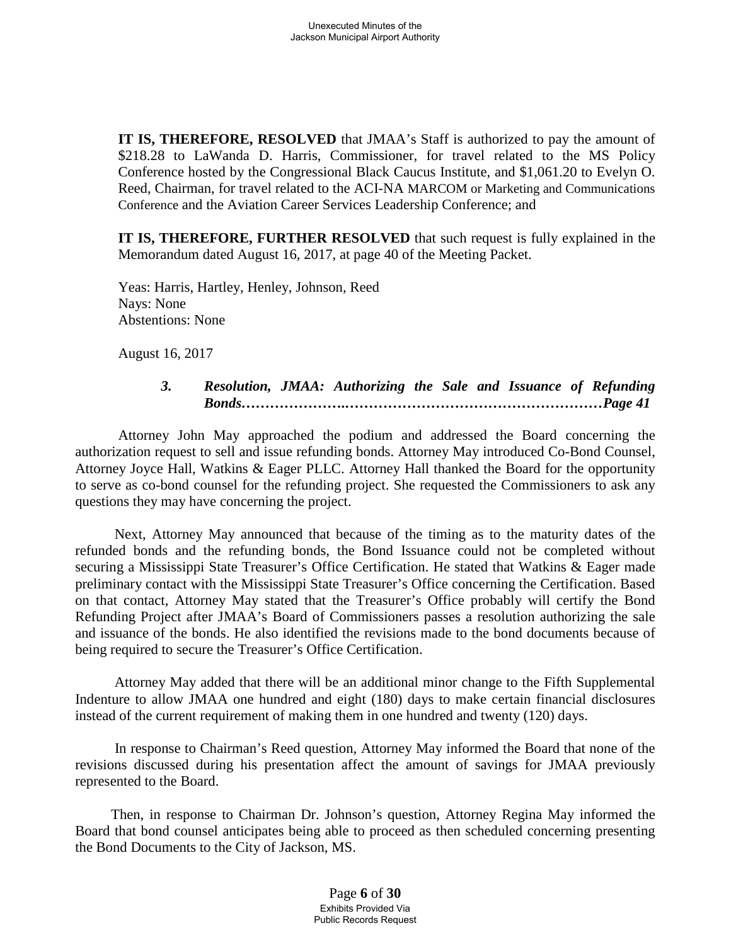**IT IS, THEREFORE, RESOLVED** that JMAA's Staff is authorized to pay the amount of \$218.28 to LaWanda D. Harris, Commissioner, for travel related to the MS Policy Conference hosted by the Congressional Black Caucus Institute, and \$1,061.20 to Evelyn O. Reed, Chairman, for travel related to the ACI-NA MARCOM or Marketing and Communications Conference and the Aviation Career Services Leadership Conference; and

**IT IS, THEREFORE, FURTHER RESOLVED** that such request is fully explained in the Memorandum dated August 16, 2017, at page 40 of the Meeting Packet.

Yeas: Harris, Hartley, Henley, Johnson, Reed Nays: None Abstentions: None

August 16, 2017

# *3. Resolution, JMAA: Authorizing the Sale and Issuance of Refunding Bonds………………….………………………………………………Page 41*

Attorney John May approached the podium and addressed the Board concerning the authorization request to sell and issue refunding bonds. Attorney May introduced Co-Bond Counsel, Attorney Joyce Hall, Watkins & Eager PLLC. Attorney Hall thanked the Board for the opportunity to serve as co-bond counsel for the refunding project. She requested the Commissioners to ask any questions they may have concerning the project.

Next, Attorney May announced that because of the timing as to the maturity dates of the refunded bonds and the refunding bonds, the Bond Issuance could not be completed without securing a Mississippi State Treasurer's Office Certification. He stated that Watkins & Eager made preliminary contact with the Mississippi State Treasurer's Office concerning the Certification. Based on that contact, Attorney May stated that the Treasurer's Office probably will certify the Bond Refunding Project after JMAA's Board of Commissioners passes a resolution authorizing the sale and issuance of the bonds. He also identified the revisions made to the bond documents because of being required to secure the Treasurer's Office Certification.

Attorney May added that there will be an additional minor change to the Fifth Supplemental Indenture to allow JMAA one hundred and eight (180) days to make certain financial disclosures instead of the current requirement of making them in one hundred and twenty (120) days.

In response to Chairman's Reed question, Attorney May informed the Board that none of the revisions discussed during his presentation affect the amount of savings for JMAA previously represented to the Board.

Then, in response to Chairman Dr. Johnson's question, Attorney Regina May informed the Board that bond counsel anticipates being able to proceed as then scheduled concerning presenting the Bond Documents to the City of Jackson, MS.

> Page **6** of **30** Exhibits Provided Via Public Records Request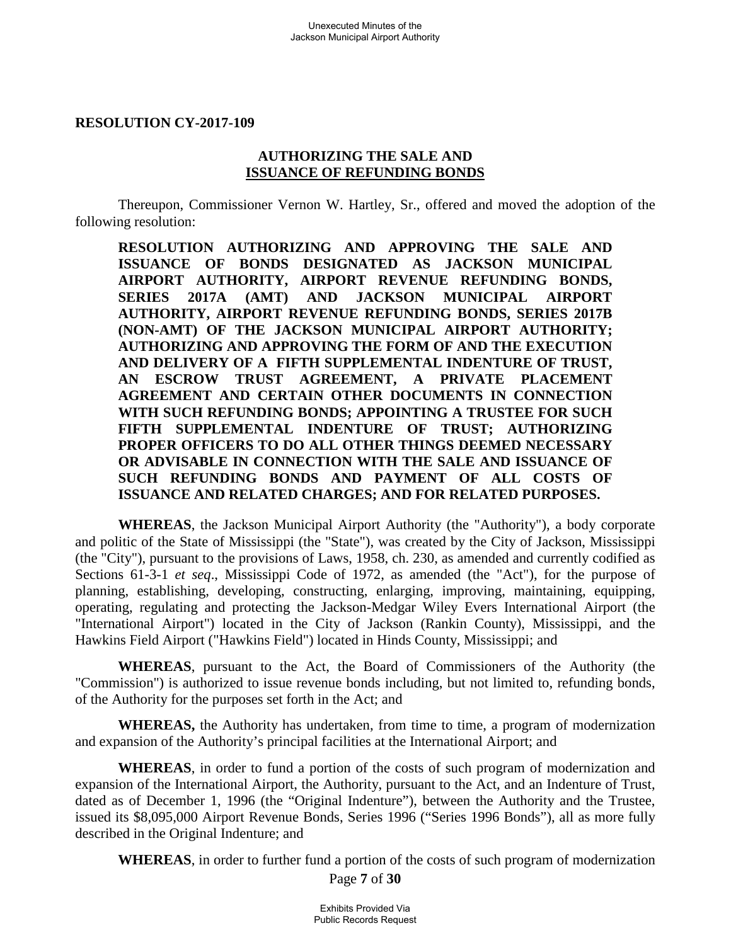#### **RESOLUTION CY-2017-109**

#### **AUTHORIZING THE SALE AND ISSUANCE OF REFUNDING BONDS**

Thereupon, Commissioner Vernon W. Hartley, Sr., offered and moved the adoption of the following resolution:

**RESOLUTION AUTHORIZING AND APPROVING THE SALE AND ISSUANCE OF BONDS DESIGNATED AS JACKSON MUNICIPAL AIRPORT AUTHORITY, AIRPORT REVENUE REFUNDING BONDS, SERIES 2017A (AMT) AND JACKSON MUNICIPAL AIRPORT AUTHORITY, AIRPORT REVENUE REFUNDING BONDS, SERIES 2017B (NON-AMT) OF THE JACKSON MUNICIPAL AIRPORT AUTHORITY; AUTHORIZING AND APPROVING THE FORM OF AND THE EXECUTION AND DELIVERY OF A FIFTH SUPPLEMENTAL INDENTURE OF TRUST, AN ESCROW TRUST AGREEMENT, A PRIVATE PLACEMENT AGREEMENT AND CERTAIN OTHER DOCUMENTS IN CONNECTION WITH SUCH REFUNDING BONDS; APPOINTING A TRUSTEE FOR SUCH FIFTH SUPPLEMENTAL INDENTURE OF TRUST; AUTHORIZING PROPER OFFICERS TO DO ALL OTHER THINGS DEEMED NECESSARY OR ADVISABLE IN CONNECTION WITH THE SALE AND ISSUANCE OF SUCH REFUNDING BONDS AND PAYMENT OF ALL COSTS OF ISSUANCE AND RELATED CHARGES; AND FOR RELATED PURPOSES.**

**WHEREAS**, the Jackson Municipal Airport Authority (the "Authority"), a body corporate and politic of the State of Mississippi (the "State"), was created by the City of Jackson, Mississippi (the "City"), pursuant to the provisions of Laws, 1958, ch. 230, as amended and currently codified as Sections 61-3-1 *et seq*., Mississippi Code of 1972, as amended (the "Act"), for the purpose of planning, establishing, developing, constructing, enlarging, improving, maintaining, equipping, operating, regulating and protecting the Jackson-Medgar Wiley Evers International Airport (the "International Airport") located in the City of Jackson (Rankin County), Mississippi, and the Hawkins Field Airport ("Hawkins Field") located in Hinds County, Mississippi; and

**WHEREAS**, pursuant to the Act, the Board of Commissioners of the Authority (the "Commission") is authorized to issue revenue bonds including, but not limited to, refunding bonds, of the Authority for the purposes set forth in the Act; and

**WHEREAS,** the Authority has undertaken, from time to time, a program of modernization and expansion of the Authority's principal facilities at the International Airport; and

**WHEREAS**, in order to fund a portion of the costs of such program of modernization and expansion of the International Airport, the Authority, pursuant to the Act, and an Indenture of Trust, dated as of December 1, 1996 (the "Original Indenture"), between the Authority and the Trustee, issued its \$8,095,000 Airport Revenue Bonds, Series 1996 ("Series 1996 Bonds"), all as more fully described in the Original Indenture; and

**WHEREAS**, in order to further fund a portion of the costs of such program of modernization

Page **7** of **30**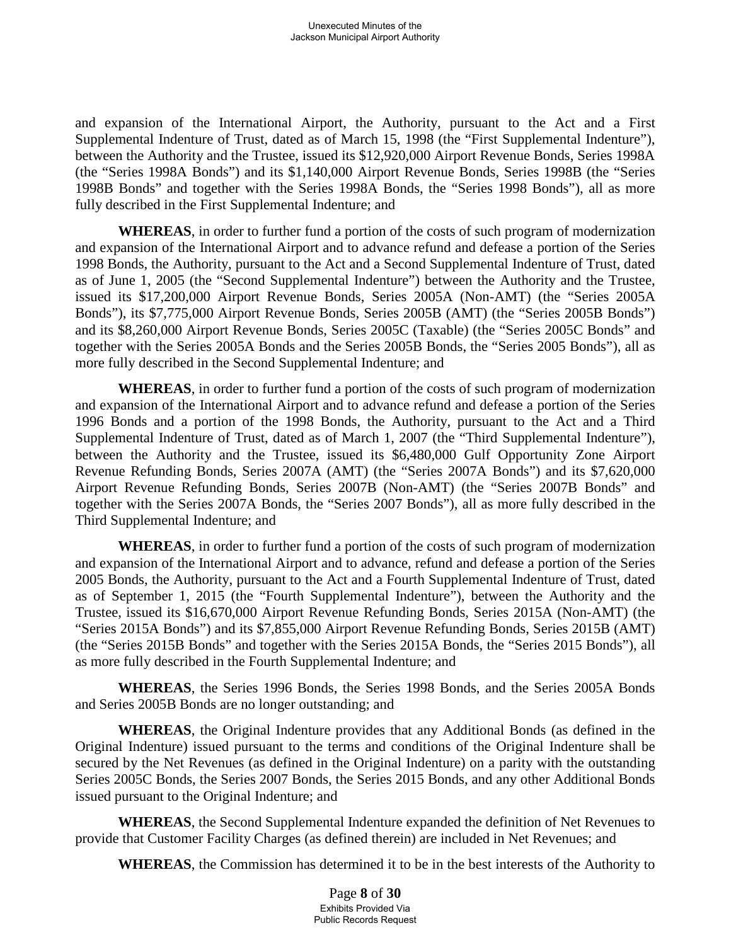and expansion of the International Airport, the Authority, pursuant to the Act and a First Supplemental Indenture of Trust, dated as of March 15, 1998 (the "First Supplemental Indenture"), between the Authority and the Trustee, issued its \$12,920,000 Airport Revenue Bonds, Series 1998A (the "Series 1998A Bonds") and its \$1,140,000 Airport Revenue Bonds, Series 1998B (the "Series 1998B Bonds" and together with the Series 1998A Bonds, the "Series 1998 Bonds"), all as more fully described in the First Supplemental Indenture; and

**WHEREAS**, in order to further fund a portion of the costs of such program of modernization and expansion of the International Airport and to advance refund and defease a portion of the Series 1998 Bonds, the Authority, pursuant to the Act and a Second Supplemental Indenture of Trust, dated as of June 1, 2005 (the "Second Supplemental Indenture") between the Authority and the Trustee, issued its \$17,200,000 Airport Revenue Bonds, Series 2005A (Non-AMT) (the "Series 2005A Bonds"), its \$7,775,000 Airport Revenue Bonds, Series 2005B (AMT) (the "Series 2005B Bonds") and its \$8,260,000 Airport Revenue Bonds, Series 2005C (Taxable) (the "Series 2005C Bonds" and together with the Series 2005A Bonds and the Series 2005B Bonds, the "Series 2005 Bonds"), all as more fully described in the Second Supplemental Indenture; and

**WHEREAS**, in order to further fund a portion of the costs of such program of modernization and expansion of the International Airport and to advance refund and defease a portion of the Series 1996 Bonds and a portion of the 1998 Bonds, the Authority, pursuant to the Act and a Third Supplemental Indenture of Trust, dated as of March 1, 2007 (the "Third Supplemental Indenture"), between the Authority and the Trustee, issued its \$6,480,000 Gulf Opportunity Zone Airport Revenue Refunding Bonds, Series 2007A (AMT) (the "Series 2007A Bonds") and its \$7,620,000 Airport Revenue Refunding Bonds, Series 2007B (Non-AMT) (the "Series 2007B Bonds" and together with the Series 2007A Bonds, the "Series 2007 Bonds"), all as more fully described in the Third Supplemental Indenture; and

**WHEREAS**, in order to further fund a portion of the costs of such program of modernization and expansion of the International Airport and to advance, refund and defease a portion of the Series 2005 Bonds, the Authority, pursuant to the Act and a Fourth Supplemental Indenture of Trust, dated as of September 1, 2015 (the "Fourth Supplemental Indenture"), between the Authority and the Trustee, issued its \$16,670,000 Airport Revenue Refunding Bonds, Series 2015A (Non-AMT) (the "Series 2015A Bonds") and its \$7,855,000 Airport Revenue Refunding Bonds, Series 2015B (AMT) (the "Series 2015B Bonds" and together with the Series 2015A Bonds, the "Series 2015 Bonds"), all as more fully described in the Fourth Supplemental Indenture; and

**WHEREAS**, the Series 1996 Bonds, the Series 1998 Bonds, and the Series 2005A Bonds and Series 2005B Bonds are no longer outstanding; and

**WHEREAS**, the Original Indenture provides that any Additional Bonds (as defined in the Original Indenture) issued pursuant to the terms and conditions of the Original Indenture shall be secured by the Net Revenues (as defined in the Original Indenture) on a parity with the outstanding Series 2005C Bonds, the Series 2007 Bonds, the Series 2015 Bonds, and any other Additional Bonds issued pursuant to the Original Indenture; and

**WHEREAS**, the Second Supplemental Indenture expanded the definition of Net Revenues to provide that Customer Facility Charges (as defined therein) are included in Net Revenues; and

**WHEREAS**, the Commission has determined it to be in the best interests of the Authority to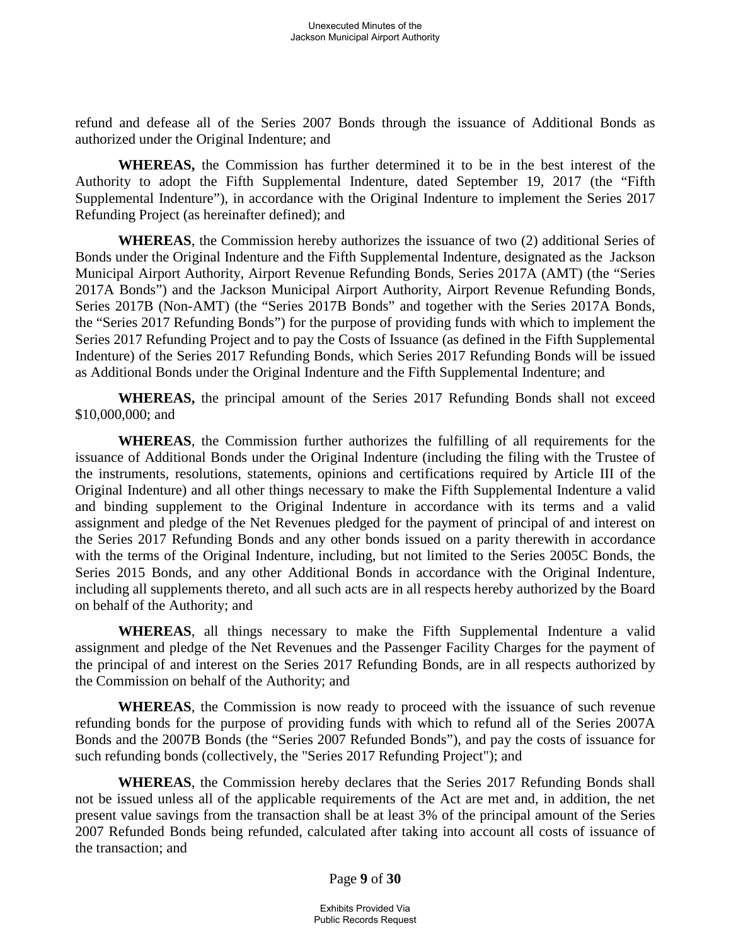refund and defease all of the Series 2007 Bonds through the issuance of Additional Bonds as authorized under the Original Indenture; and

**WHEREAS,** the Commission has further determined it to be in the best interest of the Authority to adopt the Fifth Supplemental Indenture, dated September 19, 2017 (the "Fifth Supplemental Indenture"), in accordance with the Original Indenture to implement the Series 2017 Refunding Project (as hereinafter defined); and

**WHEREAS**, the Commission hereby authorizes the issuance of two (2) additional Series of Bonds under the Original Indenture and the Fifth Supplemental Indenture, designated as the Jackson Municipal Airport Authority, Airport Revenue Refunding Bonds, Series 2017A (AMT) (the "Series 2017A Bonds") and the Jackson Municipal Airport Authority, Airport Revenue Refunding Bonds, Series 2017B (Non-AMT) (the "Series 2017B Bonds" and together with the Series 2017A Bonds, the "Series 2017 Refunding Bonds") for the purpose of providing funds with which to implement the Series 2017 Refunding Project and to pay the Costs of Issuance (as defined in the Fifth Supplemental Indenture) of the Series 2017 Refunding Bonds, which Series 2017 Refunding Bonds will be issued as Additional Bonds under the Original Indenture and the Fifth Supplemental Indenture; and

**WHEREAS,** the principal amount of the Series 2017 Refunding Bonds shall not exceed \$10,000,000; and

**WHEREAS**, the Commission further authorizes the fulfilling of all requirements for the issuance of Additional Bonds under the Original Indenture (including the filing with the Trustee of the instruments, resolutions, statements, opinions and certifications required by Article III of the Original Indenture) and all other things necessary to make the Fifth Supplemental Indenture a valid and binding supplement to the Original Indenture in accordance with its terms and a valid assignment and pledge of the Net Revenues pledged for the payment of principal of and interest on the Series 2017 Refunding Bonds and any other bonds issued on a parity therewith in accordance with the terms of the Original Indenture, including, but not limited to the Series 2005C Bonds, the Series 2015 Bonds, and any other Additional Bonds in accordance with the Original Indenture, including all supplements thereto, and all such acts are in all respects hereby authorized by the Board on behalf of the Authority; and

**WHEREAS**, all things necessary to make the Fifth Supplemental Indenture a valid assignment and pledge of the Net Revenues and the Passenger Facility Charges for the payment of the principal of and interest on the Series 2017 Refunding Bonds, are in all respects authorized by the Commission on behalf of the Authority; and

**WHEREAS**, the Commission is now ready to proceed with the issuance of such revenue refunding bonds for the purpose of providing funds with which to refund all of the Series 2007A Bonds and the 2007B Bonds (the "Series 2007 Refunded Bonds"), and pay the costs of issuance for such refunding bonds (collectively, the "Series 2017 Refunding Project"); and

**WHEREAS**, the Commission hereby declares that the Series 2017 Refunding Bonds shall not be issued unless all of the applicable requirements of the Act are met and, in addition, the net present value savings from the transaction shall be at least 3% of the principal amount of the Series 2007 Refunded Bonds being refunded, calculated after taking into account all costs of issuance of the transaction; and

Page **9** of **30**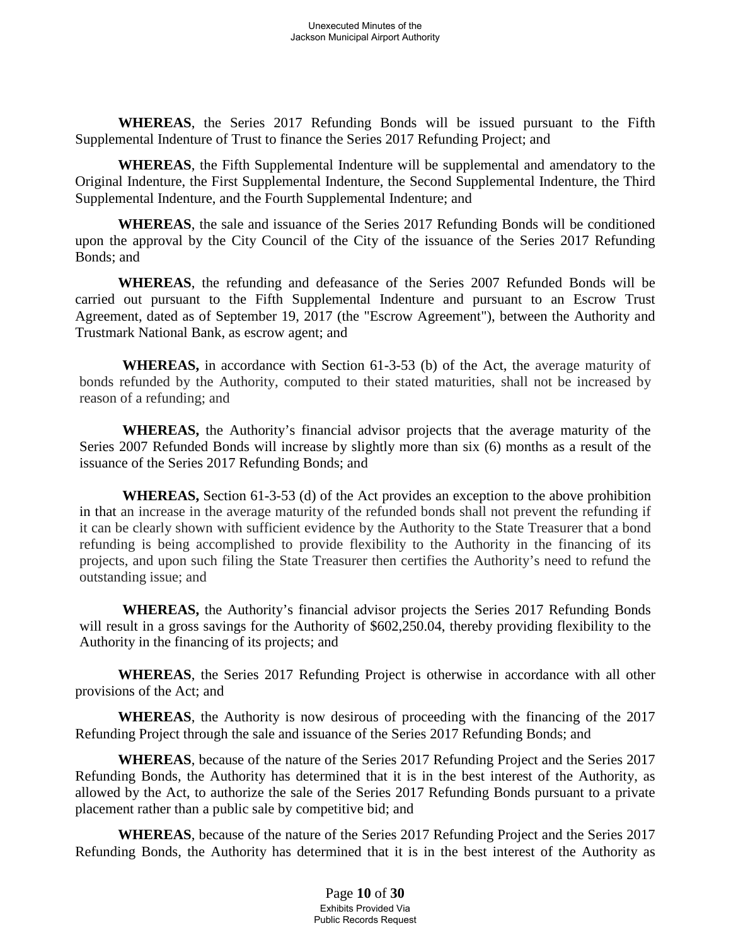**WHEREAS**, the Series 2017 Refunding Bonds will be issued pursuant to the Fifth Supplemental Indenture of Trust to finance the Series 2017 Refunding Project; and

**WHEREAS**, the Fifth Supplemental Indenture will be supplemental and amendatory to the Original Indenture, the First Supplemental Indenture, the Second Supplemental Indenture, the Third Supplemental Indenture, and the Fourth Supplemental Indenture; and

**WHEREAS**, the sale and issuance of the Series 2017 Refunding Bonds will be conditioned upon the approval by the City Council of the City of the issuance of the Series 2017 Refunding Bonds; and

**WHEREAS**, the refunding and defeasance of the Series 2007 Refunded Bonds will be carried out pursuant to the Fifth Supplemental Indenture and pursuant to an Escrow Trust Agreement, dated as of September 19, 2017 (the "Escrow Agreement"), between the Authority and Trustmark National Bank, as escrow agent; and

**WHEREAS,** in accordance with Section 61-3-53 (b) of the Act, the average maturity of bonds refunded by the Authority, computed to their stated maturities, shall not be increased by reason of a refunding; and

**WHEREAS,** the Authority's financial advisor projects that the average maturity of the Series 2007 Refunded Bonds will increase by slightly more than six (6) months as a result of the issuance of the Series 2017 Refunding Bonds; and

**WHEREAS,** Section 61-3-53 (d) of the Act provides an exception to the above prohibition in that an increase in the average maturity of the refunded bonds shall not prevent the refunding if it can be clearly shown with sufficient evidence by the Authority to the State Treasurer that a bond refunding is being accomplished to provide flexibility to the Authority in the financing of its projects, and upon such filing the State Treasurer then certifies the Authority's need to refund the outstanding issue; and

**WHEREAS,** the Authority's financial advisor projects the Series 2017 Refunding Bonds will result in a gross savings for the Authority of \$602,250.04, thereby providing flexibility to the Authority in the financing of its projects; and

**WHEREAS**, the Series 2017 Refunding Project is otherwise in accordance with all other provisions of the Act; and

**WHEREAS**, the Authority is now desirous of proceeding with the financing of the 2017 Refunding Project through the sale and issuance of the Series 2017 Refunding Bonds; and

**WHEREAS**, because of the nature of the Series 2017 Refunding Project and the Series 2017 Refunding Bonds, the Authority has determined that it is in the best interest of the Authority, as allowed by the Act, to authorize the sale of the Series 2017 Refunding Bonds pursuant to a private placement rather than a public sale by competitive bid; and

**WHEREAS**, because of the nature of the Series 2017 Refunding Project and the Series 2017 Refunding Bonds, the Authority has determined that it is in the best interest of the Authority as

> Page **10** of **30** Exhibits Provided Via Public Records Request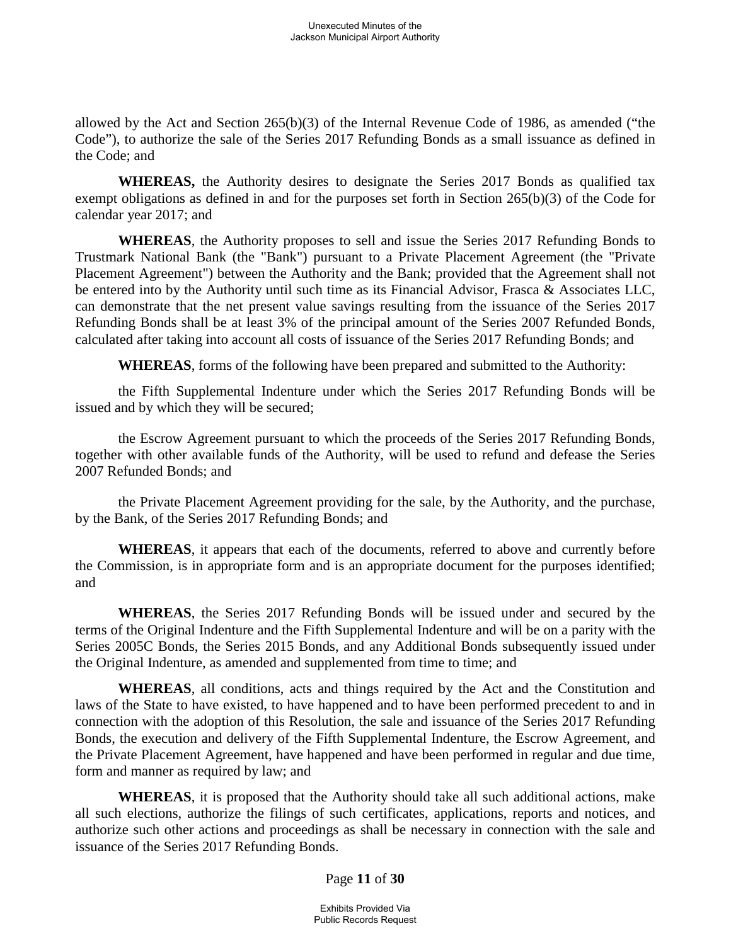allowed by the Act and Section 265(b)(3) of the Internal Revenue Code of 1986, as amended ("the Code"), to authorize the sale of the Series 2017 Refunding Bonds as a small issuance as defined in the Code; and

**WHEREAS,** the Authority desires to designate the Series 2017 Bonds as qualified tax exempt obligations as defined in and for the purposes set forth in Section 265(b)(3) of the Code for calendar year 2017; and

**WHEREAS**, the Authority proposes to sell and issue the Series 2017 Refunding Bonds to Trustmark National Bank (the "Bank") pursuant to a Private Placement Agreement (the "Private Placement Agreement") between the Authority and the Bank; provided that the Agreement shall not be entered into by the Authority until such time as its Financial Advisor, Frasca & Associates LLC, can demonstrate that the net present value savings resulting from the issuance of the Series 2017 Refunding Bonds shall be at least 3% of the principal amount of the Series 2007 Refunded Bonds, calculated after taking into account all costs of issuance of the Series 2017 Refunding Bonds; and

**WHEREAS**, forms of the following have been prepared and submitted to the Authority:

the Fifth Supplemental Indenture under which the Series 2017 Refunding Bonds will be issued and by which they will be secured;

the Escrow Agreement pursuant to which the proceeds of the Series 2017 Refunding Bonds, together with other available funds of the Authority, will be used to refund and defease the Series 2007 Refunded Bonds; and

the Private Placement Agreement providing for the sale, by the Authority, and the purchase, by the Bank, of the Series 2017 Refunding Bonds; and

**WHEREAS**, it appears that each of the documents, referred to above and currently before the Commission, is in appropriate form and is an appropriate document for the purposes identified; and

**WHEREAS**, the Series 2017 Refunding Bonds will be issued under and secured by the terms of the Original Indenture and the Fifth Supplemental Indenture and will be on a parity with the Series 2005C Bonds, the Series 2015 Bonds, and any Additional Bonds subsequently issued under the Original Indenture, as amended and supplemented from time to time; and

**WHEREAS**, all conditions, acts and things required by the Act and the Constitution and laws of the State to have existed, to have happened and to have been performed precedent to and in connection with the adoption of this Resolution, the sale and issuance of the Series 2017 Refunding Bonds, the execution and delivery of the Fifth Supplemental Indenture, the Escrow Agreement, and the Private Placement Agreement, have happened and have been performed in regular and due time, form and manner as required by law; and

**WHEREAS**, it is proposed that the Authority should take all such additional actions, make all such elections, authorize the filings of such certificates, applications, reports and notices, and authorize such other actions and proceedings as shall be necessary in connection with the sale and issuance of the Series 2017 Refunding Bonds.

### Page **11** of **30**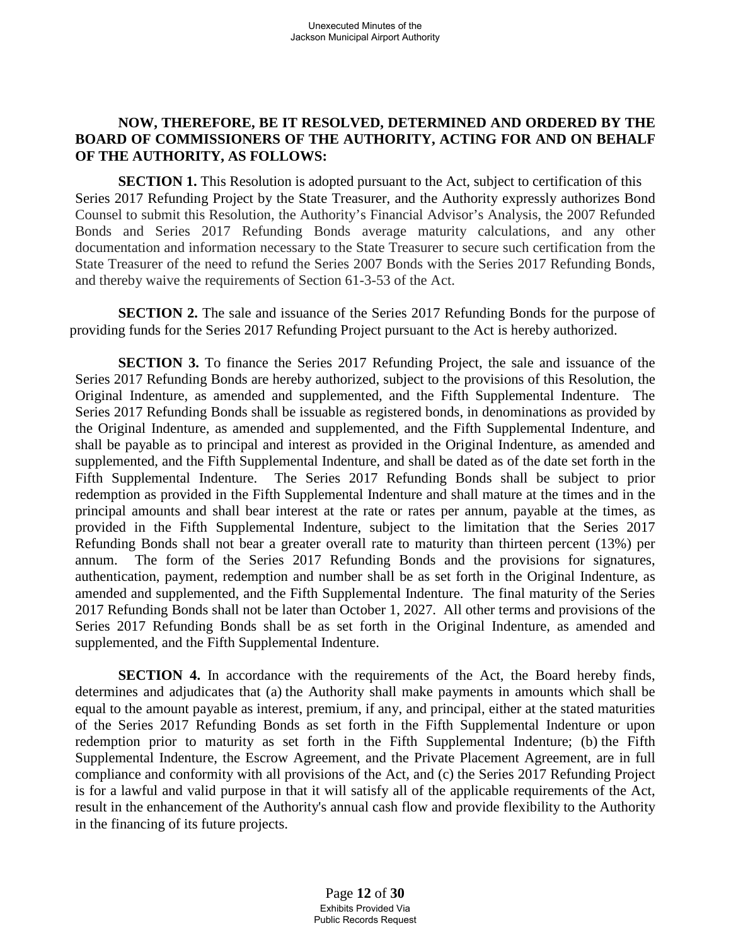### **NOW, THEREFORE, BE IT RESOLVED, DETERMINED AND ORDERED BY THE BOARD OF COMMISSIONERS OF THE AUTHORITY, ACTING FOR AND ON BEHALF OF THE AUTHORITY, AS FOLLOWS:**

**SECTION 1.** This Resolution is adopted pursuant to the Act, subject to certification of this Series 2017 Refunding Project by the State Treasurer, and the Authority expressly authorizes Bond Counsel to submit this Resolution, the Authority's Financial Advisor's Analysis, the 2007 Refunded Bonds and Series 2017 Refunding Bonds average maturity calculations, and any other documentation and information necessary to the State Treasurer to secure such certification from the State Treasurer of the need to refund the Series 2007 Bonds with the Series 2017 Refunding Bonds, and thereby waive the requirements of Section 61-3-53 of the Act.

**SECTION 2.** The sale and issuance of the Series 2017 Refunding Bonds for the purpose of providing funds for the Series 2017 Refunding Project pursuant to the Act is hereby authorized.

**SECTION 3.** To finance the Series 2017 Refunding Project, the sale and issuance of the Series 2017 Refunding Bonds are hereby authorized, subject to the provisions of this Resolution, the Original Indenture, as amended and supplemented, and the Fifth Supplemental Indenture. The Series 2017 Refunding Bonds shall be issuable as registered bonds, in denominations as provided by the Original Indenture, as amended and supplemented, and the Fifth Supplemental Indenture, and shall be payable as to principal and interest as provided in the Original Indenture, as amended and supplemented, and the Fifth Supplemental Indenture, and shall be dated as of the date set forth in the Fifth Supplemental Indenture. The Series 2017 Refunding Bonds shall be subject to prior redemption as provided in the Fifth Supplemental Indenture and shall mature at the times and in the principal amounts and shall bear interest at the rate or rates per annum, payable at the times, as provided in the Fifth Supplemental Indenture, subject to the limitation that the Series 2017 Refunding Bonds shall not bear a greater overall rate to maturity than thirteen percent (13%) per annum. The form of the Series 2017 Refunding Bonds and the provisions for signatures, authentication, payment, redemption and number shall be as set forth in the Original Indenture, as amended and supplemented, and the Fifth Supplemental Indenture. The final maturity of the Series 2017 Refunding Bonds shall not be later than October 1, 2027. All other terms and provisions of the Series 2017 Refunding Bonds shall be as set forth in the Original Indenture, as amended and supplemented, and the Fifth Supplemental Indenture.

**SECTION 4.** In accordance with the requirements of the Act, the Board hereby finds, determines and adjudicates that (a) the Authority shall make payments in amounts which shall be equal to the amount payable as interest, premium, if any, and principal, either at the stated maturities of the Series 2017 Refunding Bonds as set forth in the Fifth Supplemental Indenture or upon redemption prior to maturity as set forth in the Fifth Supplemental Indenture; (b) the Fifth Supplemental Indenture, the Escrow Agreement, and the Private Placement Agreement, are in full compliance and conformity with all provisions of the Act, and (c) the Series 2017 Refunding Project is for a lawful and valid purpose in that it will satisfy all of the applicable requirements of the Act, result in the enhancement of the Authority's annual cash flow and provide flexibility to the Authority in the financing of its future projects.

> Page **12** of **30** Exhibits Provided Via Public Records Request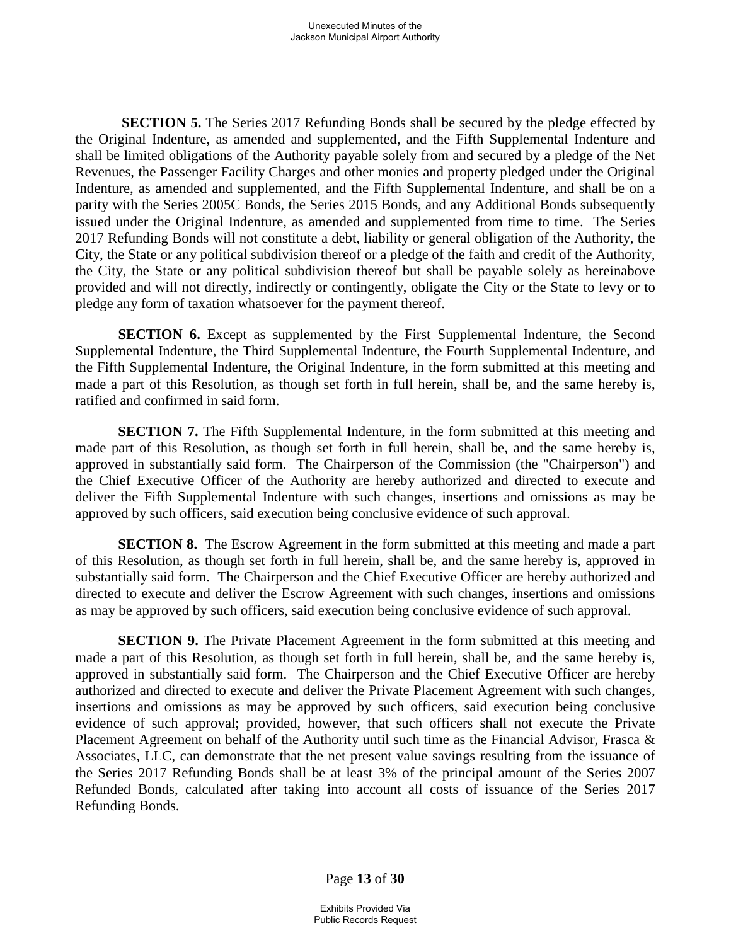**SECTION 5.** The Series 2017 Refunding Bonds shall be secured by the pledge effected by the Original Indenture, as amended and supplemented, and the Fifth Supplemental Indenture and shall be limited obligations of the Authority payable solely from and secured by a pledge of the Net Revenues, the Passenger Facility Charges and other monies and property pledged under the Original Indenture, as amended and supplemented, and the Fifth Supplemental Indenture, and shall be on a parity with the Series 2005C Bonds, the Series 2015 Bonds, and any Additional Bonds subsequently issued under the Original Indenture, as amended and supplemented from time to time. The Series 2017 Refunding Bonds will not constitute a debt, liability or general obligation of the Authority, the City, the State or any political subdivision thereof or a pledge of the faith and credit of the Authority, the City, the State or any political subdivision thereof but shall be payable solely as hereinabove provided and will not directly, indirectly or contingently, obligate the City or the State to levy or to pledge any form of taxation whatsoever for the payment thereof.

**SECTION 6.** Except as supplemented by the First Supplemental Indenture, the Second Supplemental Indenture, the Third Supplemental Indenture, the Fourth Supplemental Indenture, and the Fifth Supplemental Indenture, the Original Indenture, in the form submitted at this meeting and made a part of this Resolution, as though set forth in full herein, shall be, and the same hereby is, ratified and confirmed in said form.

**SECTION 7.** The Fifth Supplemental Indenture, in the form submitted at this meeting and made part of this Resolution, as though set forth in full herein, shall be, and the same hereby is, approved in substantially said form. The Chairperson of the Commission (the "Chairperson") and the Chief Executive Officer of the Authority are hereby authorized and directed to execute and deliver the Fifth Supplemental Indenture with such changes, insertions and omissions as may be approved by such officers, said execution being conclusive evidence of such approval.

**SECTION 8.** The Escrow Agreement in the form submitted at this meeting and made a part of this Resolution, as though set forth in full herein, shall be, and the same hereby is, approved in substantially said form. The Chairperson and the Chief Executive Officer are hereby authorized and directed to execute and deliver the Escrow Agreement with such changes, insertions and omissions as may be approved by such officers, said execution being conclusive evidence of such approval.

**SECTION 9.** The Private Placement Agreement in the form submitted at this meeting and made a part of this Resolution, as though set forth in full herein, shall be, and the same hereby is, approved in substantially said form. The Chairperson and the Chief Executive Officer are hereby authorized and directed to execute and deliver the Private Placement Agreement with such changes, insertions and omissions as may be approved by such officers, said execution being conclusive evidence of such approval; provided, however, that such officers shall not execute the Private Placement Agreement on behalf of the Authority until such time as the Financial Advisor, Frasca & Associates, LLC, can demonstrate that the net present value savings resulting from the issuance of the Series 2017 Refunding Bonds shall be at least 3% of the principal amount of the Series 2007 Refunded Bonds, calculated after taking into account all costs of issuance of the Series 2017 Refunding Bonds.

Page **13** of **30**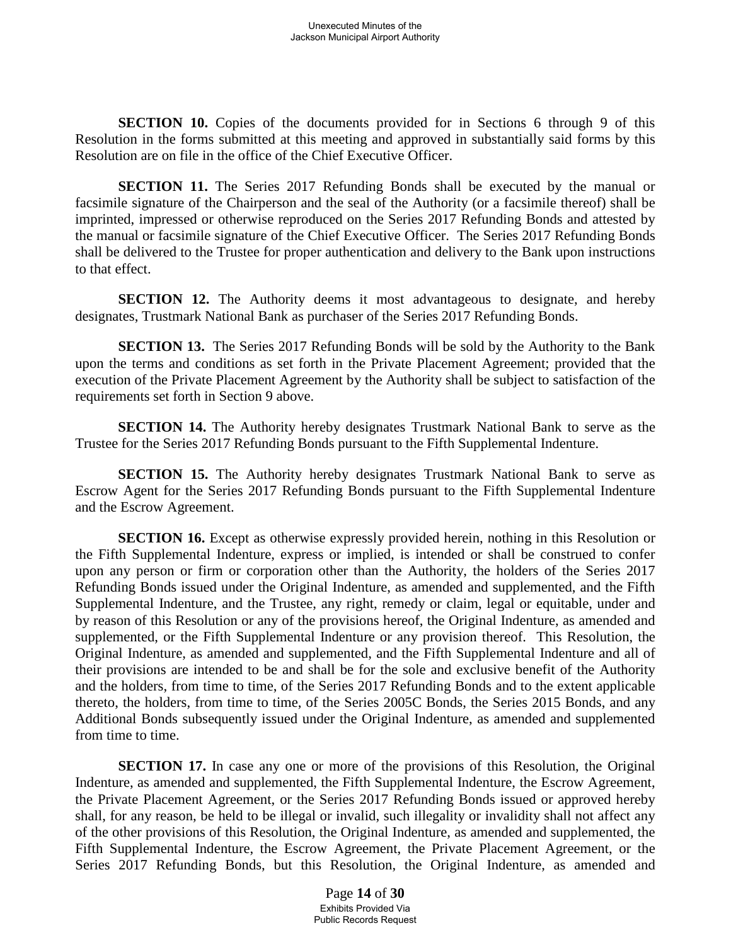**SECTION 10.** Copies of the documents provided for in Sections 6 through 9 of this Resolution in the forms submitted at this meeting and approved in substantially said forms by this Resolution are on file in the office of the Chief Executive Officer.

**SECTION 11.** The Series 2017 Refunding Bonds shall be executed by the manual or facsimile signature of the Chairperson and the seal of the Authority (or a facsimile thereof) shall be imprinted, impressed or otherwise reproduced on the Series 2017 Refunding Bonds and attested by the manual or facsimile signature of the Chief Executive Officer. The Series 2017 Refunding Bonds shall be delivered to the Trustee for proper authentication and delivery to the Bank upon instructions to that effect.

**SECTION 12.** The Authority deems it most advantageous to designate, and hereby designates, Trustmark National Bank as purchaser of the Series 2017 Refunding Bonds.

**SECTION 13.** The Series 2017 Refunding Bonds will be sold by the Authority to the Bank upon the terms and conditions as set forth in the Private Placement Agreement; provided that the execution of the Private Placement Agreement by the Authority shall be subject to satisfaction of the requirements set forth in Section 9 above.

**SECTION 14.** The Authority hereby designates Trustmark National Bank to serve as the Trustee for the Series 2017 Refunding Bonds pursuant to the Fifth Supplemental Indenture.

**SECTION 15.** The Authority hereby designates Trustmark National Bank to serve as Escrow Agent for the Series 2017 Refunding Bonds pursuant to the Fifth Supplemental Indenture and the Escrow Agreement.

**SECTION 16.** Except as otherwise expressly provided herein, nothing in this Resolution or the Fifth Supplemental Indenture, express or implied, is intended or shall be construed to confer upon any person or firm or corporation other than the Authority, the holders of the Series 2017 Refunding Bonds issued under the Original Indenture, as amended and supplemented, and the Fifth Supplemental Indenture, and the Trustee, any right, remedy or claim, legal or equitable, under and by reason of this Resolution or any of the provisions hereof, the Original Indenture, as amended and supplemented, or the Fifth Supplemental Indenture or any provision thereof. This Resolution, the Original Indenture, as amended and supplemented, and the Fifth Supplemental Indenture and all of their provisions are intended to be and shall be for the sole and exclusive benefit of the Authority and the holders, from time to time, of the Series 2017 Refunding Bonds and to the extent applicable thereto, the holders, from time to time, of the Series 2005C Bonds, the Series 2015 Bonds, and any Additional Bonds subsequently issued under the Original Indenture, as amended and supplemented from time to time.

**SECTION 17.** In case any one or more of the provisions of this Resolution, the Original Indenture, as amended and supplemented, the Fifth Supplemental Indenture, the Escrow Agreement, the Private Placement Agreement, or the Series 2017 Refunding Bonds issued or approved hereby shall, for any reason, be held to be illegal or invalid, such illegality or invalidity shall not affect any of the other provisions of this Resolution, the Original Indenture, as amended and supplemented, the Fifth Supplemental Indenture, the Escrow Agreement, the Private Placement Agreement, or the Series 2017 Refunding Bonds, but this Resolution, the Original Indenture, as amended and

> Page **14** of **30** Exhibits Provided Via Public Records Request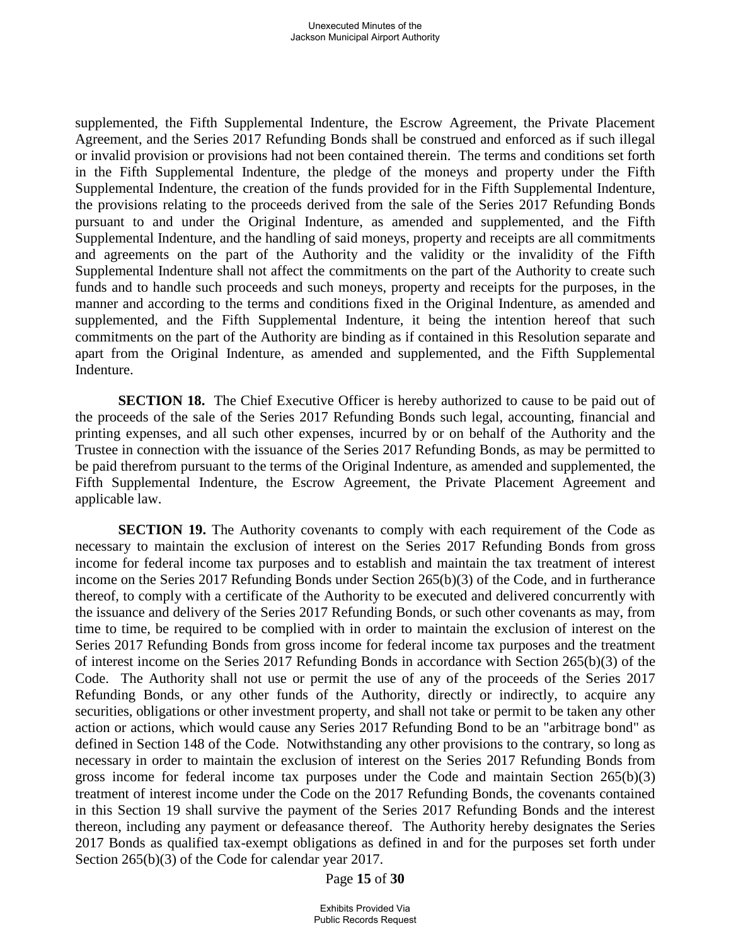supplemented, the Fifth Supplemental Indenture, the Escrow Agreement, the Private Placement Agreement, and the Series 2017 Refunding Bonds shall be construed and enforced as if such illegal or invalid provision or provisions had not been contained therein. The terms and conditions set forth in the Fifth Supplemental Indenture, the pledge of the moneys and property under the Fifth Supplemental Indenture, the creation of the funds provided for in the Fifth Supplemental Indenture, the provisions relating to the proceeds derived from the sale of the Series 2017 Refunding Bonds pursuant to and under the Original Indenture, as amended and supplemented, and the Fifth Supplemental Indenture, and the handling of said moneys, property and receipts are all commitments and agreements on the part of the Authority and the validity or the invalidity of the Fifth Supplemental Indenture shall not affect the commitments on the part of the Authority to create such funds and to handle such proceeds and such moneys, property and receipts for the purposes, in the manner and according to the terms and conditions fixed in the Original Indenture, as amended and supplemented, and the Fifth Supplemental Indenture, it being the intention hereof that such commitments on the part of the Authority are binding as if contained in this Resolution separate and apart from the Original Indenture, as amended and supplemented, and the Fifth Supplemental Indenture.

**SECTION 18.** The Chief Executive Officer is hereby authorized to cause to be paid out of the proceeds of the sale of the Series 2017 Refunding Bonds such legal, accounting, financial and printing expenses, and all such other expenses, incurred by or on behalf of the Authority and the Trustee in connection with the issuance of the Series 2017 Refunding Bonds, as may be permitted to be paid therefrom pursuant to the terms of the Original Indenture, as amended and supplemented, the Fifth Supplemental Indenture, the Escrow Agreement, the Private Placement Agreement and applicable law.

**SECTION 19.** The Authority covenants to comply with each requirement of the Code as necessary to maintain the exclusion of interest on the Series 2017 Refunding Bonds from gross income for federal income tax purposes and to establish and maintain the tax treatment of interest income on the Series 2017 Refunding Bonds under Section 265(b)(3) of the Code, and in furtherance thereof, to comply with a certificate of the Authority to be executed and delivered concurrently with the issuance and delivery of the Series 2017 Refunding Bonds, or such other covenants as may, from time to time, be required to be complied with in order to maintain the exclusion of interest on the Series 2017 Refunding Bonds from gross income for federal income tax purposes and the treatment of interest income on the Series 2017 Refunding Bonds in accordance with Section 265(b)(3) of the Code. The Authority shall not use or permit the use of any of the proceeds of the Series 2017 Refunding Bonds, or any other funds of the Authority, directly or indirectly, to acquire any securities, obligations or other investment property, and shall not take or permit to be taken any other action or actions, which would cause any Series 2017 Refunding Bond to be an "arbitrage bond" as defined in Section 148 of the Code. Notwithstanding any other provisions to the contrary, so long as necessary in order to maintain the exclusion of interest on the Series 2017 Refunding Bonds from gross income for federal income tax purposes under the Code and maintain Section 265(b)(3) treatment of interest income under the Code on the 2017 Refunding Bonds, the covenants contained in this Section 19 shall survive the payment of the Series 2017 Refunding Bonds and the interest thereon, including any payment or defeasance thereof. The Authority hereby designates the Series 2017 Bonds as qualified tax-exempt obligations as defined in and for the purposes set forth under Section 265(b)(3) of the Code for calendar year 2017.

Page **15** of **30**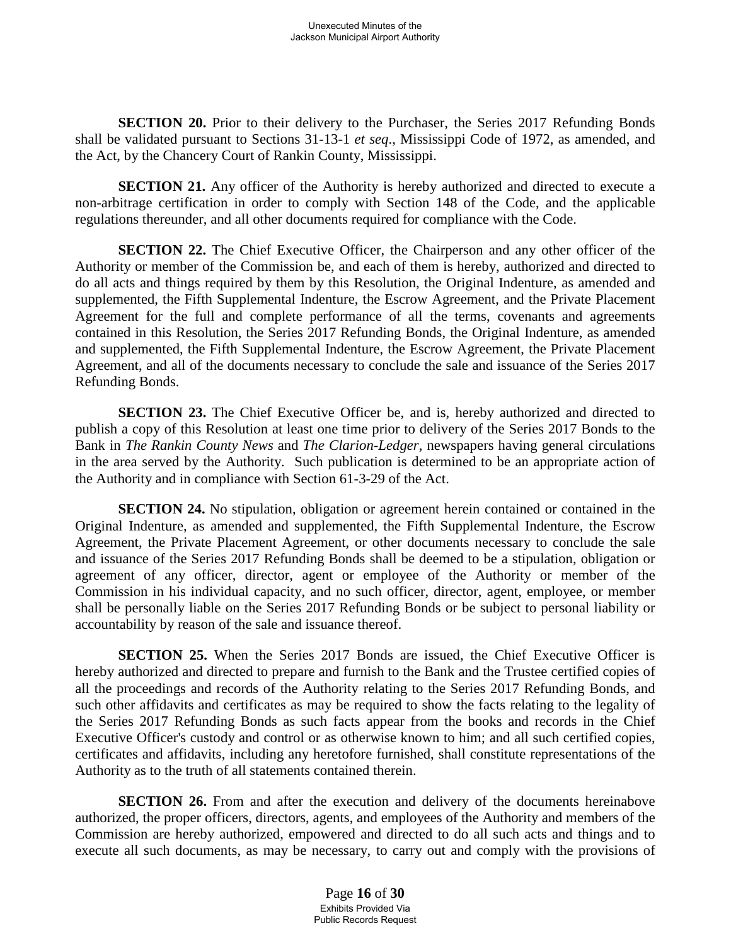**SECTION 20.** Prior to their delivery to the Purchaser, the Series 2017 Refunding Bonds shall be validated pursuant to Sections 31-13-1 *et seq*., Mississippi Code of 1972, as amended, and the Act, by the Chancery Court of Rankin County, Mississippi.

**SECTION 21.** Any officer of the Authority is hereby authorized and directed to execute a non-arbitrage certification in order to comply with Section 148 of the Code, and the applicable regulations thereunder, and all other documents required for compliance with the Code.

**SECTION 22.** The Chief Executive Officer, the Chairperson and any other officer of the Authority or member of the Commission be, and each of them is hereby, authorized and directed to do all acts and things required by them by this Resolution, the Original Indenture, as amended and supplemented, the Fifth Supplemental Indenture, the Escrow Agreement, and the Private Placement Agreement for the full and complete performance of all the terms, covenants and agreements contained in this Resolution, the Series 2017 Refunding Bonds, the Original Indenture, as amended and supplemented, the Fifth Supplemental Indenture, the Escrow Agreement, the Private Placement Agreement, and all of the documents necessary to conclude the sale and issuance of the Series 2017 Refunding Bonds.

**SECTION 23.** The Chief Executive Officer be, and is, hereby authorized and directed to publish a copy of this Resolution at least one time prior to delivery of the Series 2017 Bonds to the Bank in *The Rankin County News* and *The Clarion-Ledger*, newspapers having general circulations in the area served by the Authority. Such publication is determined to be an appropriate action of the Authority and in compliance with Section 61-3-29 of the Act.

**SECTION 24.** No stipulation, obligation or agreement herein contained or contained in the Original Indenture, as amended and supplemented, the Fifth Supplemental Indenture, the Escrow Agreement, the Private Placement Agreement, or other documents necessary to conclude the sale and issuance of the Series 2017 Refunding Bonds shall be deemed to be a stipulation, obligation or agreement of any officer, director, agent or employee of the Authority or member of the Commission in his individual capacity, and no such officer, director, agent, employee, or member shall be personally liable on the Series 2017 Refunding Bonds or be subject to personal liability or accountability by reason of the sale and issuance thereof.

**SECTION 25.** When the Series 2017 Bonds are issued, the Chief Executive Officer is hereby authorized and directed to prepare and furnish to the Bank and the Trustee certified copies of all the proceedings and records of the Authority relating to the Series 2017 Refunding Bonds, and such other affidavits and certificates as may be required to show the facts relating to the legality of the Series 2017 Refunding Bonds as such facts appear from the books and records in the Chief Executive Officer's custody and control or as otherwise known to him; and all such certified copies, certificates and affidavits, including any heretofore furnished, shall constitute representations of the Authority as to the truth of all statements contained therein.

**SECTION 26.** From and after the execution and delivery of the documents hereinabove authorized, the proper officers, directors, agents, and employees of the Authority and members of the Commission are hereby authorized, empowered and directed to do all such acts and things and to execute all such documents, as may be necessary, to carry out and comply with the provisions of

> Page **16** of **30** Exhibits Provided Via Public Records Request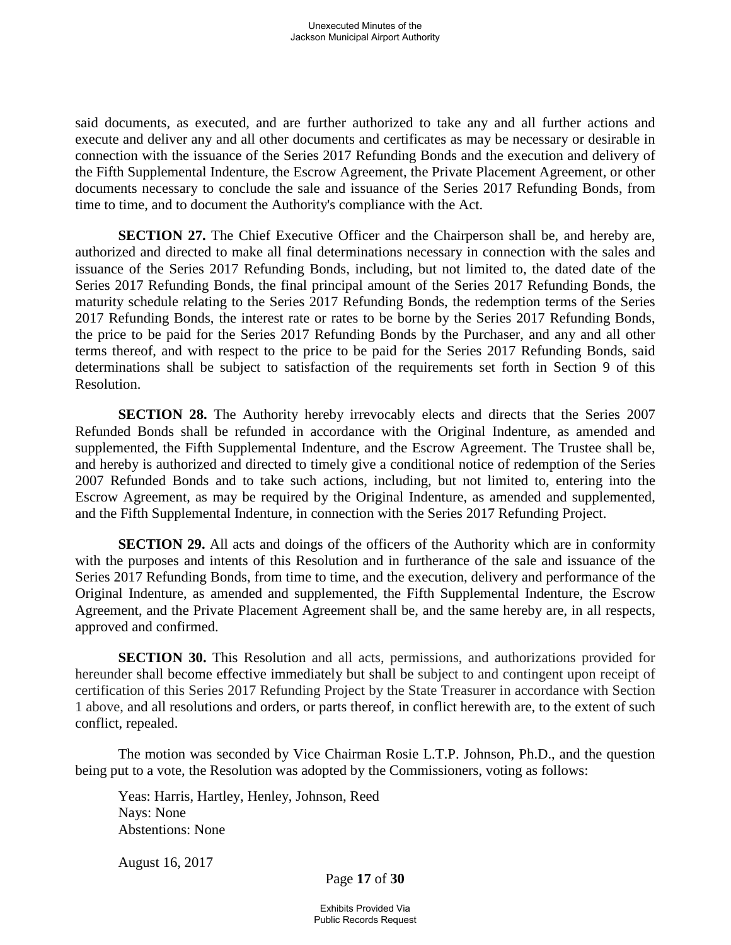said documents, as executed, and are further authorized to take any and all further actions and execute and deliver any and all other documents and certificates as may be necessary or desirable in connection with the issuance of the Series 2017 Refunding Bonds and the execution and delivery of the Fifth Supplemental Indenture, the Escrow Agreement, the Private Placement Agreement, or other documents necessary to conclude the sale and issuance of the Series 2017 Refunding Bonds, from time to time, and to document the Authority's compliance with the Act.

**SECTION 27.** The Chief Executive Officer and the Chairperson shall be, and hereby are, authorized and directed to make all final determinations necessary in connection with the sales and issuance of the Series 2017 Refunding Bonds, including, but not limited to, the dated date of the Series 2017 Refunding Bonds, the final principal amount of the Series 2017 Refunding Bonds, the maturity schedule relating to the Series 2017 Refunding Bonds, the redemption terms of the Series 2017 Refunding Bonds, the interest rate or rates to be borne by the Series 2017 Refunding Bonds, the price to be paid for the Series 2017 Refunding Bonds by the Purchaser, and any and all other terms thereof, and with respect to the price to be paid for the Series 2017 Refunding Bonds, said determinations shall be subject to satisfaction of the requirements set forth in Section 9 of this Resolution.

**SECTION 28.** The Authority hereby irrevocably elects and directs that the Series 2007 Refunded Bonds shall be refunded in accordance with the Original Indenture, as amended and supplemented, the Fifth Supplemental Indenture, and the Escrow Agreement. The Trustee shall be, and hereby is authorized and directed to timely give a conditional notice of redemption of the Series 2007 Refunded Bonds and to take such actions, including, but not limited to, entering into the Escrow Agreement, as may be required by the Original Indenture, as amended and supplemented, and the Fifth Supplemental Indenture, in connection with the Series 2017 Refunding Project.

**SECTION 29.** All acts and doings of the officers of the Authority which are in conformity with the purposes and intents of this Resolution and in furtherance of the sale and issuance of the Series 2017 Refunding Bonds, from time to time, and the execution, delivery and performance of the Original Indenture, as amended and supplemented, the Fifth Supplemental Indenture, the Escrow Agreement, and the Private Placement Agreement shall be, and the same hereby are, in all respects, approved and confirmed.

**SECTION 30.** This Resolution and all acts, permissions, and authorizations provided for hereunder shall become effective immediately but shall be subject to and contingent upon receipt of certification of this Series 2017 Refunding Project by the State Treasurer in accordance with Section 1 above, and all resolutions and orders, or parts thereof, in conflict herewith are, to the extent of such conflict, repealed.

The motion was seconded by Vice Chairman Rosie L.T.P. Johnson, Ph.D., and the question being put to a vote, the Resolution was adopted by the Commissioners, voting as follows:

Yeas: Harris, Hartley, Henley, Johnson, Reed Nays: None Abstentions: None

August 16, 2017

Page **17** of **30**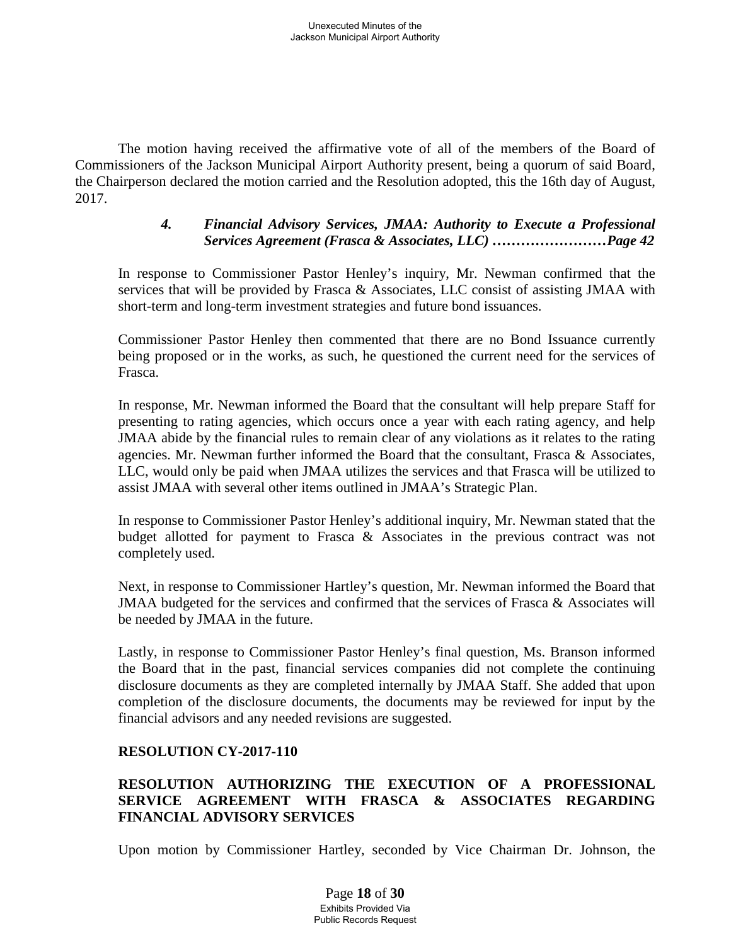The motion having received the affirmative vote of all of the members of the Board of Commissioners of the Jackson Municipal Airport Authority present, being a quorum of said Board, the Chairperson declared the motion carried and the Resolution adopted, this the 16th day of August, 2017.

### *4. Financial Advisory Services, JMAA: Authority to Execute a Professional Services Agreement (Frasca & Associates, LLC) ……………………Page 42*

In response to Commissioner Pastor Henley's inquiry, Mr. Newman confirmed that the services that will be provided by Frasca & Associates, LLC consist of assisting JMAA with short-term and long-term investment strategies and future bond issuances.

Commissioner Pastor Henley then commented that there are no Bond Issuance currently being proposed or in the works, as such, he questioned the current need for the services of Frasca.

In response, Mr. Newman informed the Board that the consultant will help prepare Staff for presenting to rating agencies, which occurs once a year with each rating agency, and help JMAA abide by the financial rules to remain clear of any violations as it relates to the rating agencies. Mr. Newman further informed the Board that the consultant, Frasca & Associates, LLC, would only be paid when JMAA utilizes the services and that Frasca will be utilized to assist JMAA with several other items outlined in JMAA's Strategic Plan.

In response to Commissioner Pastor Henley's additional inquiry, Mr. Newman stated that the budget allotted for payment to Frasca & Associates in the previous contract was not completely used.

Next, in response to Commissioner Hartley's question, Mr. Newman informed the Board that JMAA budgeted for the services and confirmed that the services of Frasca & Associates will be needed by JMAA in the future.

Lastly, in response to Commissioner Pastor Henley's final question, Ms. Branson informed the Board that in the past, financial services companies did not complete the continuing disclosure documents as they are completed internally by JMAA Staff. She added that upon completion of the disclosure documents, the documents may be reviewed for input by the financial advisors and any needed revisions are suggested.

# **RESOLUTION CY-2017-110**

# **RESOLUTION AUTHORIZING THE EXECUTION OF A PROFESSIONAL SERVICE AGREEMENT WITH FRASCA & ASSOCIATES REGARDING FINANCIAL ADVISORY SERVICES**

Upon motion by Commissioner Hartley, seconded by Vice Chairman Dr. Johnson, the

Page **18** of **30** Exhibits Provided Via Public Records Request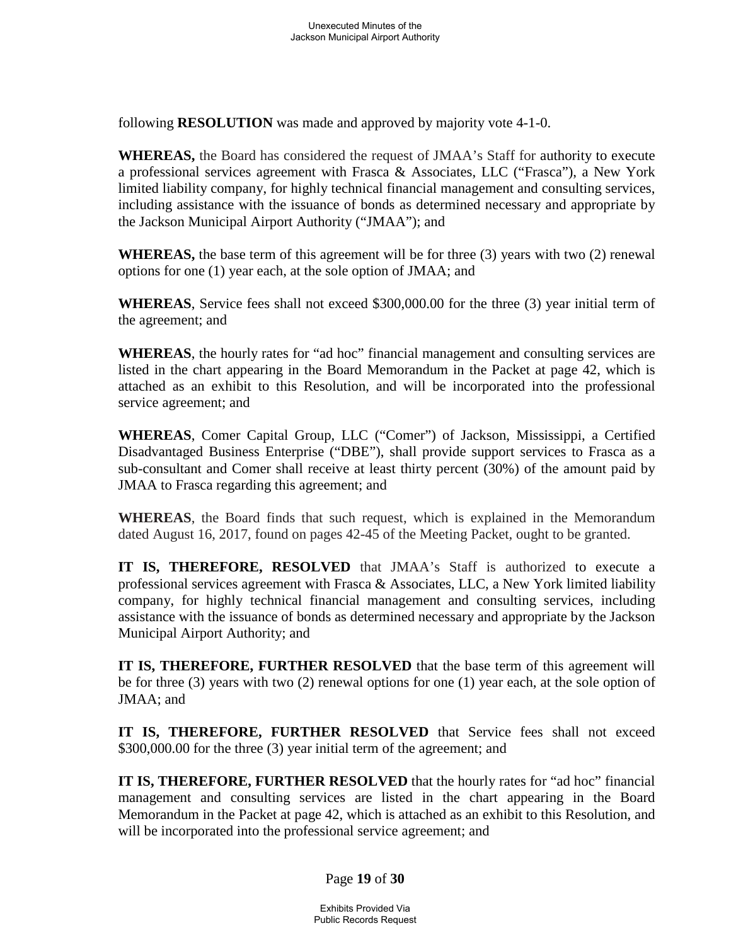following **RESOLUTION** was made and approved by majority vote 4-1-0.

**WHEREAS,** the Board has considered the request of JMAA's Staff for authority to execute a professional services agreement with Frasca & Associates, LLC ("Frasca"), a New York limited liability company, for highly technical financial management and consulting services, including assistance with the issuance of bonds as determined necessary and appropriate by the Jackson Municipal Airport Authority ("JMAA"); and

**WHEREAS,** the base term of this agreement will be for three (3) years with two (2) renewal options for one (1) year each, at the sole option of JMAA; and

**WHEREAS**, Service fees shall not exceed \$300,000.00 for the three (3) year initial term of the agreement; and

**WHEREAS**, the hourly rates for "ad hoc" financial management and consulting services are listed in the chart appearing in the Board Memorandum in the Packet at page 42, which is attached as an exhibit to this Resolution, and will be incorporated into the professional service agreement; and

**WHEREAS**, Comer Capital Group, LLC ("Comer") of Jackson, Mississippi, a Certified Disadvantaged Business Enterprise ("DBE"), shall provide support services to Frasca as a sub-consultant and Comer shall receive at least thirty percent (30%) of the amount paid by JMAA to Frasca regarding this agreement; and

**WHEREAS**, the Board finds that such request, which is explained in the Memorandum dated August 16, 2017, found on pages 42-45 of the Meeting Packet, ought to be granted.

**IT IS, THEREFORE, RESOLVED** that JMAA's Staff is authorized to execute a professional services agreement with Frasca & Associates, LLC, a New York limited liability company, for highly technical financial management and consulting services, including assistance with the issuance of bonds as determined necessary and appropriate by the Jackson Municipal Airport Authority; and

**IT IS, THEREFORE, FURTHER RESOLVED** that the base term of this agreement will be for three (3) years with two (2) renewal options for one (1) year each, at the sole option of JMAA; and

**IT IS, THEREFORE, FURTHER RESOLVED** that Service fees shall not exceed \$300,000.00 for the three (3) year initial term of the agreement; and

**IT IS, THEREFORE, FURTHER RESOLVED** that the hourly rates for "ad hoc" financial management and consulting services are listed in the chart appearing in the Board Memorandum in the Packet at page 42, which is attached as an exhibit to this Resolution, and will be incorporated into the professional service agreement; and

Page **19** of **30**

Exhibits Provided Via Public Records Request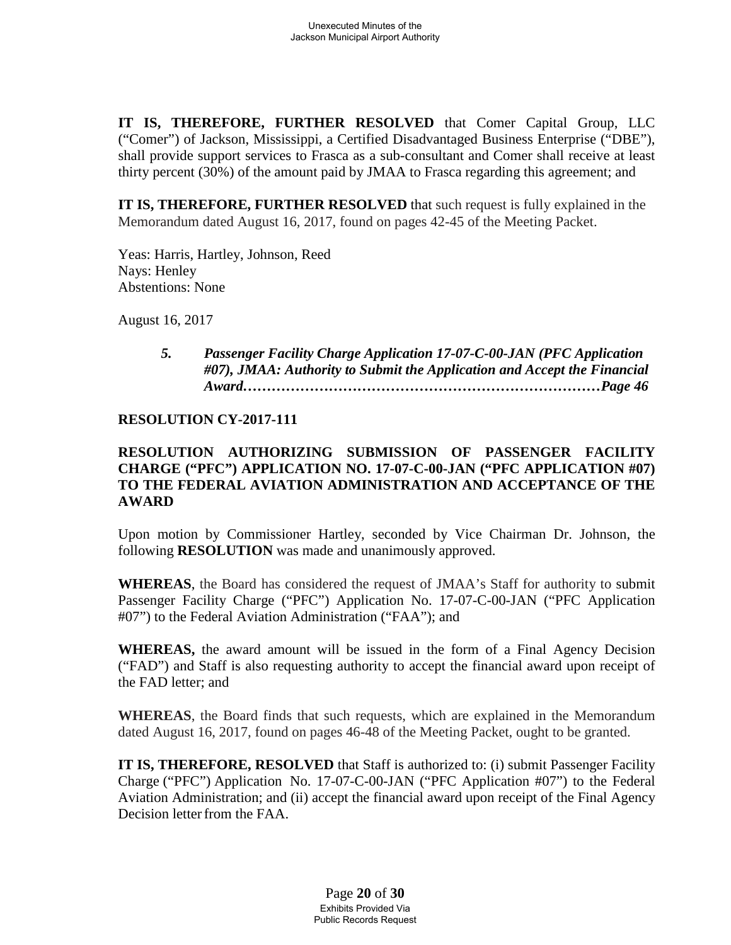**IT IS, THEREFORE, FURTHER RESOLVED** that Comer Capital Group, LLC ("Comer") of Jackson, Mississippi, a Certified Disadvantaged Business Enterprise ("DBE"), shall provide support services to Frasca as a sub-consultant and Comer shall receive at least thirty percent (30%) of the amount paid by JMAA to Frasca regarding this agreement; and

**IT IS, THEREFORE, FURTHER RESOLVED** that such request is fully explained in the Memorandum dated August 16, 2017, found on pages 42-45 of the Meeting Packet.

Yeas: Harris, Hartley, Johnson, Reed Nays: Henley Abstentions: None

August 16, 2017

*5. Passenger Facility Charge Application 17-07-C-00-JAN (PFC Application #07), JMAA: Authority to Submit the Application and Accept the Financial Award…………………………………………………………………Page 46*

# **RESOLUTION CY-2017-111**

# **RESOLUTION AUTHORIZING SUBMISSION OF PASSENGER FACILITY CHARGE ("PFC") APPLICATION NO. 17-07-C-00-JAN ("PFC APPLICATION #07) TO THE FEDERAL AVIATION ADMINISTRATION AND ACCEPTANCE OF THE AWARD**

Upon motion by Commissioner Hartley, seconded by Vice Chairman Dr. Johnson, the following **RESOLUTION** was made and unanimously approved.

**WHEREAS**, the Board has considered the request of JMAA's Staff for authority to submit Passenger Facility Charge ("PFC") Application No. 17-07-C-00-JAN ("PFC Application #07") to the Federal Aviation Administration ("FAA"); and

**WHEREAS,** the award amount will be issued in the form of a Final Agency Decision ("FAD") and Staff is also requesting authority to accept the financial award upon receipt of the FAD letter; and

**WHEREAS**, the Board finds that such requests, which are explained in the Memorandum dated August 16, 2017, found on pages 46-48 of the Meeting Packet, ought to be granted.

**IT IS, THEREFORE, RESOLVED** that Staff is authorized to: (i) submit Passenger Facility Charge ("PFC") Application No. 17-07-C-00-JAN ("PFC Application #07") to the Federal Aviation Administration; and (ii) accept the financial award upon receipt of the Final Agency Decision letter from the FAA.

> Page **20** of **30** Exhibits Provided Via Public Records Request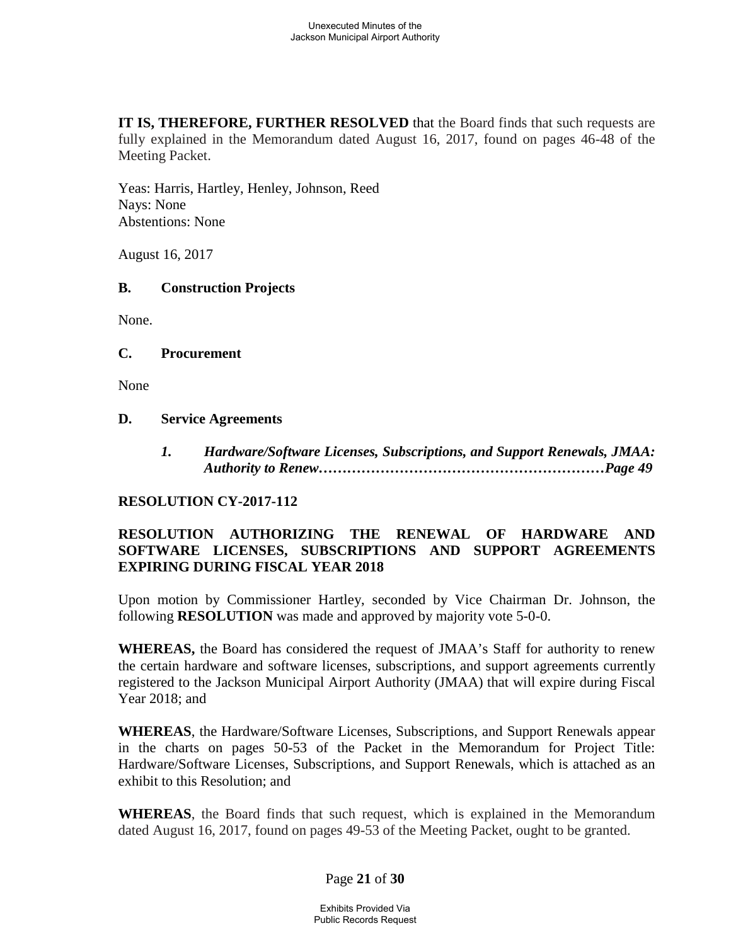**IT IS, THEREFORE, FURTHER RESOLVED** that the Board finds that such requests are fully explained in the Memorandum dated August 16, 2017, found on pages 46-48 of the Meeting Packet.

Yeas: Harris, Hartley, Henley, Johnson, Reed Nays: None Abstentions: None

August 16, 2017

### **B. Construction Projects**

None.

### **C. Procurement**

None

#### **D. Service Agreements**

*1. Hardware/Software Licenses, Subscriptions, and Support Renewals, JMAA: Authority to Renew……………………………………………………Page 49*

### **RESOLUTION CY-2017-112**

# **RESOLUTION AUTHORIZING THE RENEWAL OF HARDWARE AND SOFTWARE LICENSES, SUBSCRIPTIONS AND SUPPORT AGREEMENTS EXPIRING DURING FISCAL YEAR 2018**

Upon motion by Commissioner Hartley, seconded by Vice Chairman Dr. Johnson, the following **RESOLUTION** was made and approved by majority vote 5-0-0.

**WHEREAS,** the Board has considered the request of JMAA's Staff for authority to renew the certain hardware and software licenses, subscriptions, and support agreements currently registered to the Jackson Municipal Airport Authority (JMAA) that will expire during Fiscal Year 2018; and

**WHEREAS**, the Hardware/Software Licenses, Subscriptions, and Support Renewals appear in the charts on pages 50-53 of the Packet in the Memorandum for Project Title: Hardware/Software Licenses, Subscriptions, and Support Renewals, which is attached as an exhibit to this Resolution; and

**WHEREAS**, the Board finds that such request, which is explained in the Memorandum dated August 16, 2017, found on pages 49-53 of the Meeting Packet, ought to be granted.

### Page **21** of **30**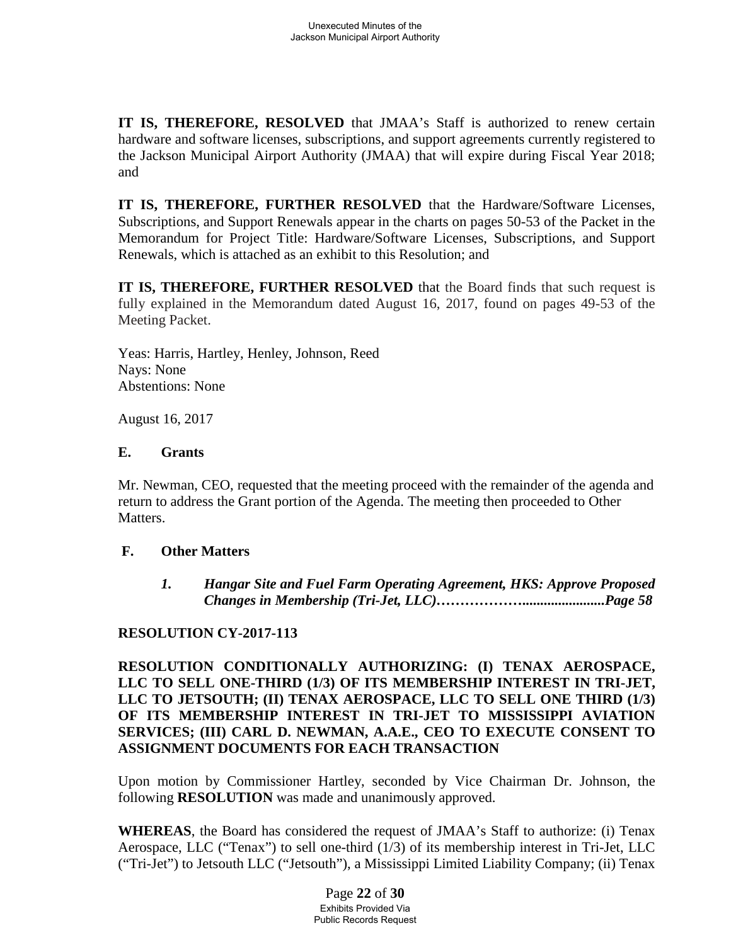**IT IS, THEREFORE, RESOLVED** that JMAA's Staff is authorized to renew certain hardware and software licenses, subscriptions, and support agreements currently registered to the Jackson Municipal Airport Authority (JMAA) that will expire during Fiscal Year 2018; and

**IT IS, THEREFORE, FURTHER RESOLVED** that the Hardware/Software Licenses, Subscriptions, and Support Renewals appear in the charts on pages 50-53 of the Packet in the Memorandum for Project Title: Hardware/Software Licenses, Subscriptions, and Support Renewals, which is attached as an exhibit to this Resolution; and

**IT IS, THEREFORE, FURTHER RESOLVED** that the Board finds that such request is fully explained in the Memorandum dated August 16, 2017, found on pages 49-53 of the Meeting Packet.

Yeas: Harris, Hartley, Henley, Johnson, Reed Nays: None Abstentions: None

August 16, 2017

### **E. Grants**

Mr. Newman, CEO, requested that the meeting proceed with the remainder of the agenda and return to address the Grant portion of the Agenda. The meeting then proceeded to Other Matters.

# **F. Other Matters**

*1. Hangar Site and Fuel Farm Operating Agreement, HKS: Approve Proposed Changes in Membership (Tri-Jet, LLC)……………….......................Page 58*

# **RESOLUTION CY-2017-113**

**RESOLUTION CONDITIONALLY AUTHORIZING: (I) TENAX AEROSPACE, LLC TO SELL ONE-THIRD (1/3) OF ITS MEMBERSHIP INTEREST IN TRI-JET, LLC TO JETSOUTH; (II) TENAX AEROSPACE, LLC TO SELL ONE THIRD (1/3) OF ITS MEMBERSHIP INTEREST IN TRI-JET TO MISSISSIPPI AVIATION SERVICES; (III) CARL D. NEWMAN, A.A.E., CEO TO EXECUTE CONSENT TO ASSIGNMENT DOCUMENTS FOR EACH TRANSACTION**

Upon motion by Commissioner Hartley, seconded by Vice Chairman Dr. Johnson, the following **RESOLUTION** was made and unanimously approved.

**WHEREAS**, the Board has considered the request of JMAA's Staff to authorize: (i) Tenax Aerospace, LLC ("Tenax") to sell one-third (1/3) of its membership interest in Tri-Jet, LLC ("Tri-Jet") to Jetsouth LLC ("Jetsouth"), a Mississippi Limited Liability Company; (ii) Tenax

> Page **22** of **30** Exhibits Provided Via Public Records Request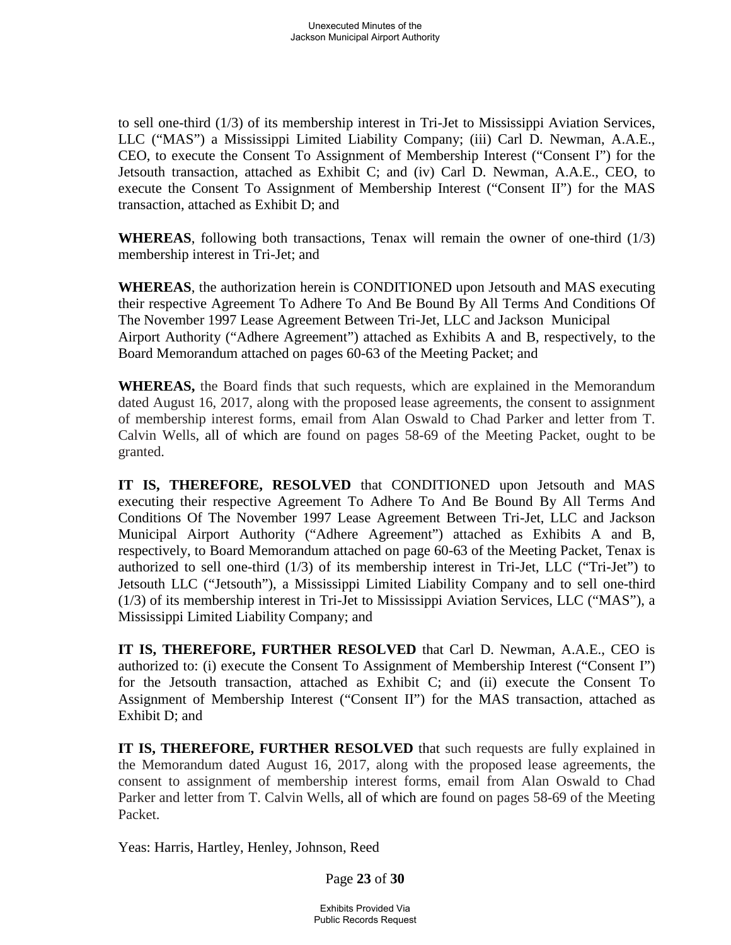to sell one-third (1/3) of its membership interest in Tri-Jet to Mississippi Aviation Services, LLC ("MAS") a Mississippi Limited Liability Company; (iii) Carl D. Newman, A.A.E., CEO, to execute the Consent To Assignment of Membership Interest ("Consent I") for the Jetsouth transaction, attached as Exhibit C; and (iv) Carl D. Newman, A.A.E., CEO, to execute the Consent To Assignment of Membership Interest ("Consent II") for the MAS transaction, attached as Exhibit D; and

**WHEREAS**, following both transactions, Tenax will remain the owner of one-third (1/3) membership interest in Tri-Jet; and

**WHEREAS**, the authorization herein is CONDITIONED upon Jetsouth and MAS executing their respective Agreement To Adhere To And Be Bound By All Terms And Conditions Of The November 1997 Lease Agreement Between Tri-Jet, LLC and Jackson Municipal Airport Authority ("Adhere Agreement") attached as Exhibits A and B, respectively, to the Board Memorandum attached on pages 60-63 of the Meeting Packet; and

**WHEREAS,** the Board finds that such requests, which are explained in the Memorandum dated August 16, 2017, along with the proposed lease agreements, the consent to assignment of membership interest forms, email from Alan Oswald to Chad Parker and letter from T. Calvin Wells, all of which are found on pages 58-69 of the Meeting Packet, ought to be granted.

**IT IS, THEREFORE, RESOLVED** that CONDITIONED upon Jetsouth and MAS executing their respective Agreement To Adhere To And Be Bound By All Terms And Conditions Of The November 1997 Lease Agreement Between Tri-Jet, LLC and Jackson Municipal Airport Authority ("Adhere Agreement") attached as Exhibits A and B, respectively, to Board Memorandum attached on page 60-63 of the Meeting Packet, Tenax is authorized to sell one-third (1/3) of its membership interest in Tri-Jet, LLC ("Tri-Jet") to Jetsouth LLC ("Jetsouth"), a Mississippi Limited Liability Company and to sell one-third (1/3) of its membership interest in Tri-Jet to Mississippi Aviation Services, LLC ("MAS"), a Mississippi Limited Liability Company; and

**IT IS, THEREFORE, FURTHER RESOLVED** that Carl D. Newman, A.A.E., CEO is authorized to: (i) execute the Consent To Assignment of Membership Interest ("Consent I") for the Jetsouth transaction, attached as Exhibit C; and (ii) execute the Consent To Assignment of Membership Interest ("Consent II") for the MAS transaction, attached as Exhibit D; and

**IT IS, THEREFORE, FURTHER RESOLVED** that such requests are fully explained in the Memorandum dated August 16, 2017, along with the proposed lease agreements, the consent to assignment of membership interest forms, email from Alan Oswald to Chad Parker and letter from T. Calvin Wells, all of which are found on pages 58-69 of the Meeting Packet.

Yeas: Harris, Hartley, Henley, Johnson, Reed

Page **23** of **30**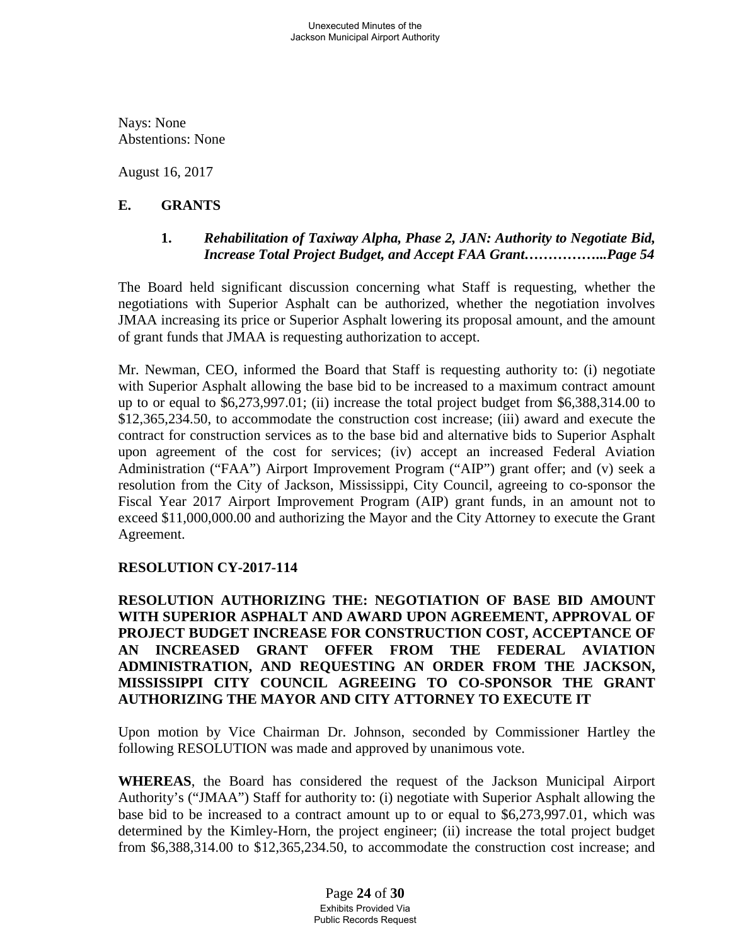Nays: None Abstentions: None

August 16, 2017

# **E. GRANTS**

### **1.** *Rehabilitation of Taxiway Alpha, Phase 2, JAN: Authority to Negotiate Bid, Increase Total Project Budget, and Accept FAA Grant……………...Page 54*

The Board held significant discussion concerning what Staff is requesting, whether the negotiations with Superior Asphalt can be authorized, whether the negotiation involves JMAA increasing its price or Superior Asphalt lowering its proposal amount, and the amount of grant funds that JMAA is requesting authorization to accept.

Mr. Newman, CEO, informed the Board that Staff is requesting authority to: (i) negotiate with Superior Asphalt allowing the base bid to be increased to a maximum contract amount up to or equal to \$6,273,997.01; (ii) increase the total project budget from \$6,388,314.00 to \$12,365,234.50, to accommodate the construction cost increase; (iii) award and execute the contract for construction services as to the base bid and alternative bids to Superior Asphalt upon agreement of the cost for services; (iv) accept an increased Federal Aviation Administration ("FAA") Airport Improvement Program ("AIP") grant offer; and (v) seek a resolution from the City of Jackson, Mississippi, City Council, agreeing to co-sponsor the Fiscal Year 2017 Airport Improvement Program (AIP) grant funds, in an amount not to exceed \$11,000,000.00 and authorizing the Mayor and the City Attorney to execute the Grant Agreement.

# **RESOLUTION CY-2017-114**

**RESOLUTION AUTHORIZING THE: NEGOTIATION OF BASE BID AMOUNT WITH SUPERIOR ASPHALT AND AWARD UPON AGREEMENT, APPROVAL OF PROJECT BUDGET INCREASE FOR CONSTRUCTION COST, ACCEPTANCE OF AN INCREASED GRANT OFFER FROM THE FEDERAL AVIATION ADMINISTRATION, AND REQUESTING AN ORDER FROM THE JACKSON, MISSISSIPPI CITY COUNCIL AGREEING TO CO-SPONSOR THE GRANT AUTHORIZING THE MAYOR AND CITY ATTORNEY TO EXECUTE IT**

Upon motion by Vice Chairman Dr. Johnson, seconded by Commissioner Hartley the following RESOLUTION was made and approved by unanimous vote.

**WHEREAS**, the Board has considered the request of the Jackson Municipal Airport Authority's ("JMAA") Staff for authority to: (i) negotiate with Superior Asphalt allowing the base bid to be increased to a contract amount up to or equal to \$6,273,997.01, which was determined by the Kimley-Horn, the project engineer; (ii) increase the total project budget from \$6,388,314.00 to \$12,365,234.50, to accommodate the construction cost increase; and

> Page **24** of **30** Exhibits Provided Via Public Records Request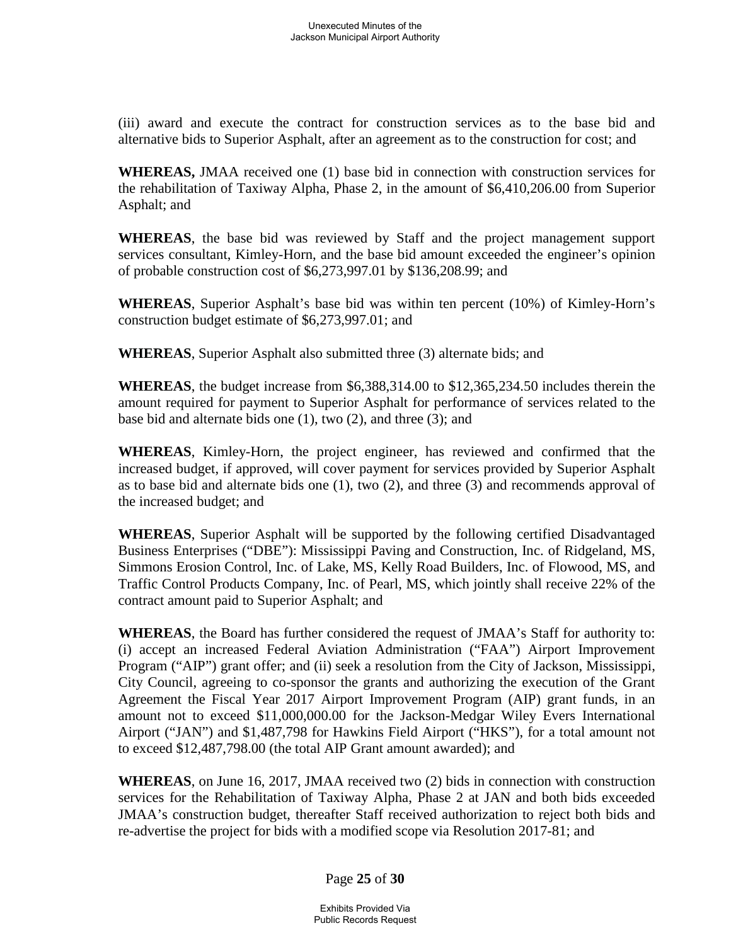(iii) award and execute the contract for construction services as to the base bid and alternative bids to Superior Asphalt, after an agreement as to the construction for cost; and

**WHEREAS,** JMAA received one (1) base bid in connection with construction services for the rehabilitation of Taxiway Alpha, Phase 2, in the amount of \$6,410,206.00 from Superior Asphalt; and

**WHEREAS**, the base bid was reviewed by Staff and the project management support services consultant, Kimley-Horn, and the base bid amount exceeded the engineer's opinion of probable construction cost of \$6,273,997.01 by \$136,208.99; and

**WHEREAS**, Superior Asphalt's base bid was within ten percent (10%) of Kimley-Horn's construction budget estimate of \$6,273,997.01; and

**WHEREAS**, Superior Asphalt also submitted three (3) alternate bids; and

**WHEREAS**, the budget increase from \$6,388,314.00 to \$12,365,234.50 includes therein the amount required for payment to Superior Asphalt for performance of services related to the base bid and alternate bids one (1), two (2), and three (3); and

**WHEREAS**, Kimley-Horn, the project engineer, has reviewed and confirmed that the increased budget, if approved, will cover payment for services provided by Superior Asphalt as to base bid and alternate bids one (1), two (2), and three (3) and recommends approval of the increased budget; and

**WHEREAS**, Superior Asphalt will be supported by the following certified Disadvantaged Business Enterprises ("DBE"): Mississippi Paving and Construction, Inc. of Ridgeland, MS, Simmons Erosion Control, Inc. of Lake, MS, Kelly Road Builders, Inc. of Flowood, MS, and Traffic Control Products Company, Inc. of Pearl, MS, which jointly shall receive 22% of the contract amount paid to Superior Asphalt; and

**WHEREAS**, the Board has further considered the request of JMAA's Staff for authority to: (i) accept an increased Federal Aviation Administration ("FAA") Airport Improvement Program ("AIP") grant offer; and (ii) seek a resolution from the City of Jackson, Mississippi, City Council, agreeing to co-sponsor the grants and authorizing the execution of the Grant Agreement the Fiscal Year 2017 Airport Improvement Program (AIP) grant funds, in an amount not to exceed \$11,000,000.00 for the Jackson-Medgar Wiley Evers International Airport ("JAN") and \$1,487,798 for Hawkins Field Airport ("HKS"), for a total amount not to exceed \$12,487,798.00 (the total AIP Grant amount awarded); and

**WHEREAS**, on June 16, 2017, JMAA received two (2) bids in connection with construction services for the Rehabilitation of Taxiway Alpha, Phase 2 at JAN and both bids exceeded JMAA's construction budget, thereafter Staff received authorization to reject both bids and re-advertise the project for bids with a modified scope via Resolution 2017-81; and

Page **25** of **30**

Exhibits Provided Via Public Records Request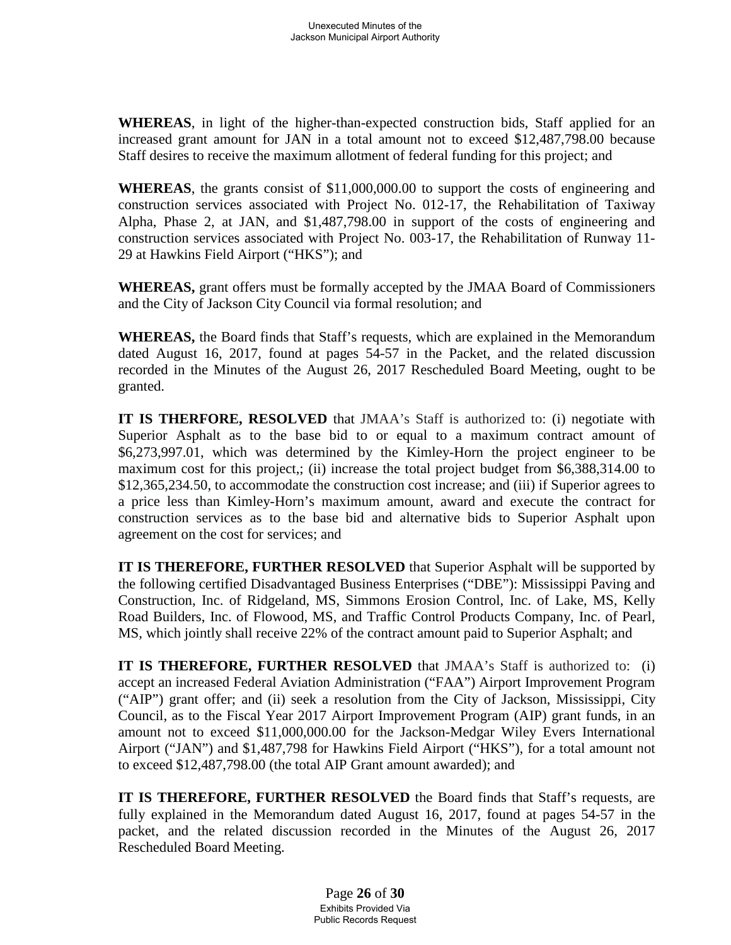**WHEREAS**, in light of the higher-than-expected construction bids, Staff applied for an increased grant amount for JAN in a total amount not to exceed \$12,487,798.00 because Staff desires to receive the maximum allotment of federal funding for this project; and

**WHEREAS**, the grants consist of \$11,000,000.00 to support the costs of engineering and construction services associated with Project No. 012-17, the Rehabilitation of Taxiway Alpha, Phase 2, at JAN, and \$1,487,798.00 in support of the costs of engineering and construction services associated with Project No. 003-17, the Rehabilitation of Runway 11- 29 at Hawkins Field Airport ("HKS"); and

**WHEREAS,** grant offers must be formally accepted by the JMAA Board of Commissioners and the City of Jackson City Council via formal resolution; and

**WHEREAS,** the Board finds that Staff's requests, which are explained in the Memorandum dated August 16, 2017, found at pages 54-57 in the Packet, and the related discussion recorded in the Minutes of the August 26, 2017 Rescheduled Board Meeting, ought to be granted.

**IT IS THERFORE, RESOLVED** that JMAA's Staff is authorized to: (i) negotiate with Superior Asphalt as to the base bid to or equal to a maximum contract amount of \$6,273,997.01, which was determined by the Kimley-Horn the project engineer to be maximum cost for this project,; (ii) increase the total project budget from \$6,388,314.00 to \$12,365,234.50, to accommodate the construction cost increase; and (iii) if Superior agrees to a price less than Kimley-Horn's maximum amount, award and execute the contract for construction services as to the base bid and alternative bids to Superior Asphalt upon agreement on the cost for services; and

**IT IS THEREFORE, FURTHER RESOLVED** that Superior Asphalt will be supported by the following certified Disadvantaged Business Enterprises ("DBE"): Mississippi Paving and Construction, Inc. of Ridgeland, MS, Simmons Erosion Control, Inc. of Lake, MS, Kelly Road Builders, Inc. of Flowood, MS, and Traffic Control Products Company, Inc. of Pearl, MS, which jointly shall receive 22% of the contract amount paid to Superior Asphalt; and

**IT IS THEREFORE, FURTHER RESOLVED** that JMAA's Staff is authorized to: (i) accept an increased Federal Aviation Administration ("FAA") Airport Improvement Program ("AIP") grant offer; and (ii) seek a resolution from the City of Jackson, Mississippi, City Council, as to the Fiscal Year 2017 Airport Improvement Program (AIP) grant funds, in an amount not to exceed \$11,000,000.00 for the Jackson-Medgar Wiley Evers International Airport ("JAN") and \$1,487,798 for Hawkins Field Airport ("HKS"), for a total amount not to exceed \$12,487,798.00 (the total AIP Grant amount awarded); and

**IT IS THEREFORE, FURTHER RESOLVED** the Board finds that Staff's requests, are fully explained in the Memorandum dated August 16, 2017, found at pages 54-57 in the packet, and the related discussion recorded in the Minutes of the August 26, 2017 Rescheduled Board Meeting.

> Page **26** of **30** Exhibits Provided Via Public Records Request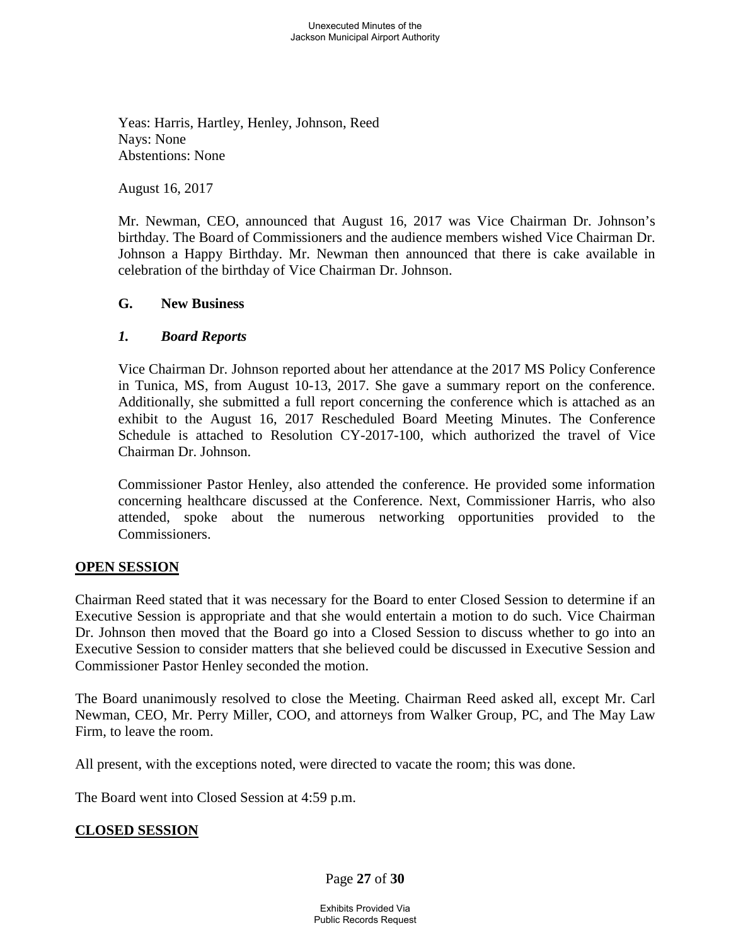Yeas: Harris, Hartley, Henley, Johnson, Reed Nays: None Abstentions: None

August 16, 2017

Mr. Newman, CEO, announced that August 16, 2017 was Vice Chairman Dr. Johnson's birthday. The Board of Commissioners and the audience members wished Vice Chairman Dr. Johnson a Happy Birthday. Mr. Newman then announced that there is cake available in celebration of the birthday of Vice Chairman Dr. Johnson.

#### **G. New Business**

#### *1. Board Reports*

Vice Chairman Dr. Johnson reported about her attendance at the 2017 MS Policy Conference in Tunica, MS, from August 10-13, 2017. She gave a summary report on the conference. Additionally, she submitted a full report concerning the conference which is attached as an exhibit to the August 16, 2017 Rescheduled Board Meeting Minutes. The Conference Schedule is attached to Resolution CY-2017-100, which authorized the travel of Vice Chairman Dr. Johnson.

Commissioner Pastor Henley, also attended the conference. He provided some information concerning healthcare discussed at the Conference. Next, Commissioner Harris, who also attended, spoke about the numerous networking opportunities provided to the Commissioners.

### **OPEN SESSION**

Chairman Reed stated that it was necessary for the Board to enter Closed Session to determine if an Executive Session is appropriate and that she would entertain a motion to do such. Vice Chairman Dr. Johnson then moved that the Board go into a Closed Session to discuss whether to go into an Executive Session to consider matters that she believed could be discussed in Executive Session and Commissioner Pastor Henley seconded the motion.

The Board unanimously resolved to close the Meeting. Chairman Reed asked all, except Mr. Carl Newman, CEO, Mr. Perry Miller, COO, and attorneys from Walker Group, PC, and The May Law Firm, to leave the room.

All present, with the exceptions noted, were directed to vacate the room; this was done.

The Board went into Closed Session at 4:59 p.m.

# **CLOSED SESSION**

Page **27** of **30**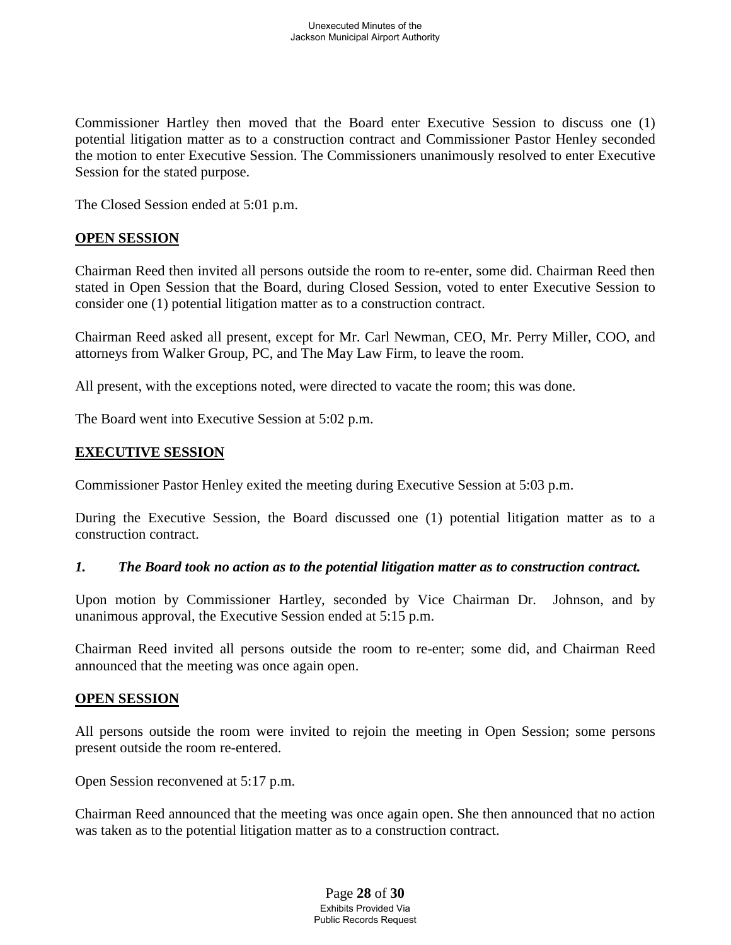Commissioner Hartley then moved that the Board enter Executive Session to discuss one (1) potential litigation matter as to a construction contract and Commissioner Pastor Henley seconded the motion to enter Executive Session. The Commissioners unanimously resolved to enter Executive Session for the stated purpose.

The Closed Session ended at 5:01 p.m.

### **OPEN SESSION**

Chairman Reed then invited all persons outside the room to re-enter, some did. Chairman Reed then stated in Open Session that the Board, during Closed Session, voted to enter Executive Session to consider one (1) potential litigation matter as to a construction contract.

Chairman Reed asked all present, except for Mr. Carl Newman, CEO, Mr. Perry Miller, COO, and attorneys from Walker Group, PC, and The May Law Firm, to leave the room.

All present, with the exceptions noted, were directed to vacate the room; this was done.

The Board went into Executive Session at 5:02 p.m.

### **EXECUTIVE SESSION**

Commissioner Pastor Henley exited the meeting during Executive Session at 5:03 p.m.

During the Executive Session, the Board discussed one (1) potential litigation matter as to a construction contract.

### *1. The Board took no action as to the potential litigation matter as to construction contract.*

Upon motion by Commissioner Hartley, seconded by Vice Chairman Dr. Johnson, and by unanimous approval, the Executive Session ended at 5:15 p.m.

Chairman Reed invited all persons outside the room to re-enter; some did, and Chairman Reed announced that the meeting was once again open.

### **OPEN SESSION**

All persons outside the room were invited to rejoin the meeting in Open Session; some persons present outside the room re-entered.

Open Session reconvened at 5:17 p.m.

Chairman Reed announced that the meeting was once again open. She then announced that no action was taken as to the potential litigation matter as to a construction contract.

> Page **28** of **30** Exhibits Provided Via Public Records Request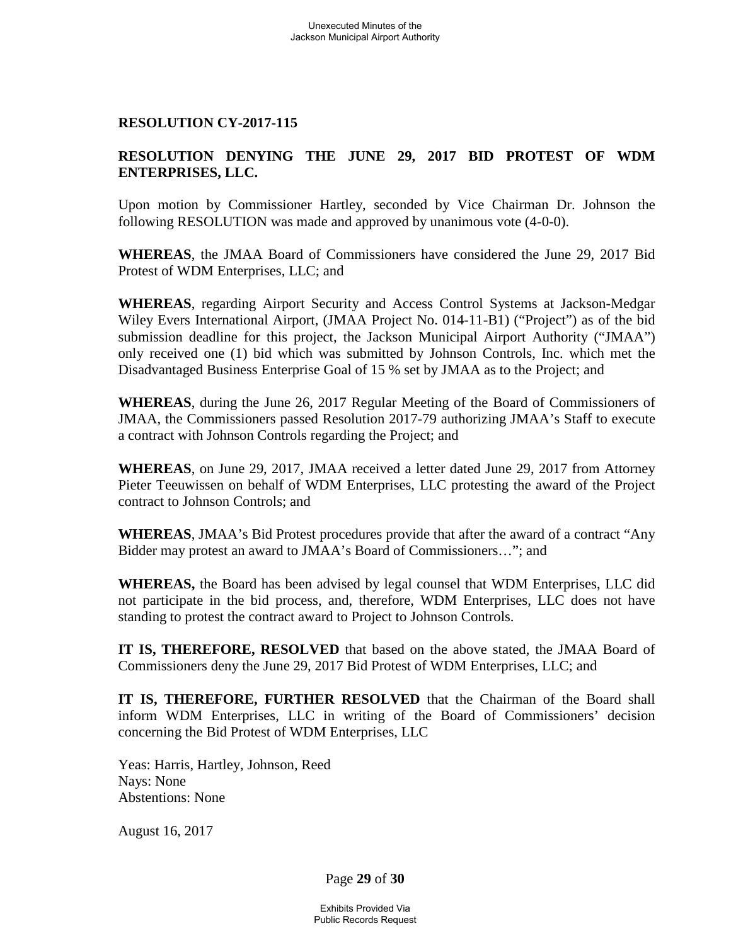### **RESOLUTION CY-2017-115**

### **RESOLUTION DENYING THE JUNE 29, 2017 BID PROTEST OF WDM ENTERPRISES, LLC.**

Upon motion by Commissioner Hartley, seconded by Vice Chairman Dr. Johnson the following RESOLUTION was made and approved by unanimous vote (4-0-0).

**WHEREAS**, the JMAA Board of Commissioners have considered the June 29, 2017 Bid Protest of WDM Enterprises, LLC; and

**WHEREAS**, regarding Airport Security and Access Control Systems at Jackson-Medgar Wiley Evers International Airport, (JMAA Project No. 014-11-B1) ("Project") as of the bid submission deadline for this project, the Jackson Municipal Airport Authority ("JMAA") only received one (1) bid which was submitted by Johnson Controls, Inc. which met the Disadvantaged Business Enterprise Goal of 15 % set by JMAA as to the Project; and

**WHEREAS**, during the June 26, 2017 Regular Meeting of the Board of Commissioners of JMAA, the Commissioners passed Resolution 2017-79 authorizing JMAA's Staff to execute a contract with Johnson Controls regarding the Project; and

**WHEREAS**, on June 29, 2017, JMAA received a letter dated June 29, 2017 from Attorney Pieter Teeuwissen on behalf of WDM Enterprises, LLC protesting the award of the Project contract to Johnson Controls; and

**WHEREAS**, JMAA's Bid Protest procedures provide that after the award of a contract "Any Bidder may protest an award to JMAA's Board of Commissioners…"; and

**WHEREAS,** the Board has been advised by legal counsel that WDM Enterprises, LLC did not participate in the bid process, and, therefore, WDM Enterprises, LLC does not have standing to protest the contract award to Project to Johnson Controls.

**IT IS, THEREFORE, RESOLVED** that based on the above stated, the JMAA Board of Commissioners deny the June 29, 2017 Bid Protest of WDM Enterprises, LLC; and

**IT IS, THEREFORE, FURTHER RESOLVED** that the Chairman of the Board shall inform WDM Enterprises, LLC in writing of the Board of Commissioners' decision concerning the Bid Protest of WDM Enterprises, LLC

Yeas: Harris, Hartley, Johnson, Reed Nays: None Abstentions: None

August 16, 2017

Page **29** of **30**